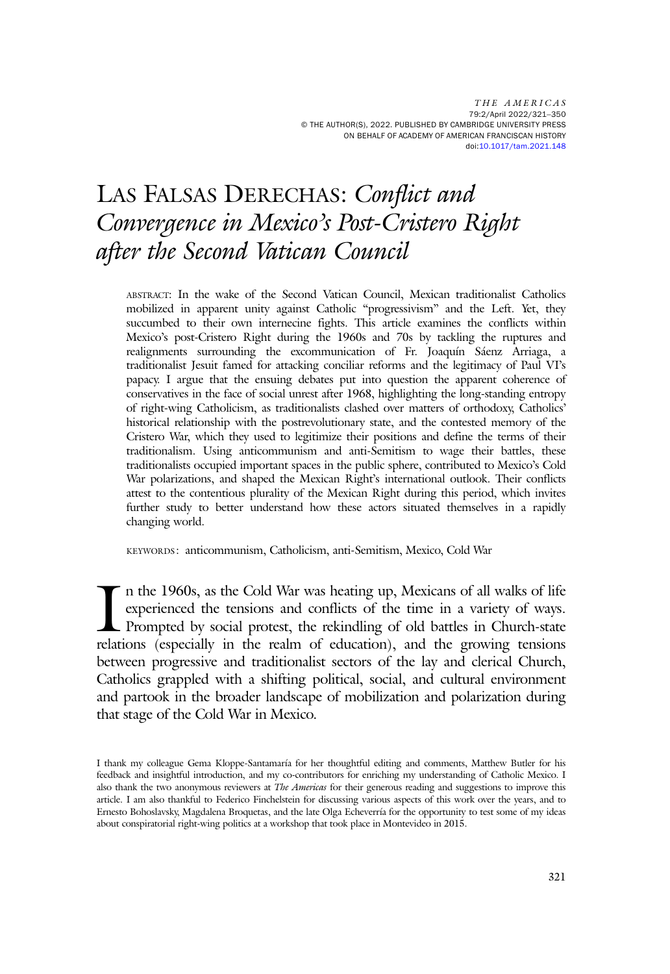THE AMERICAS 79:2/April 2022/321–350 © THE AUTHOR(S), 2022. PUBLISHED BY CAMBRIDGE UNIVERSITY PRESS ON BEHALF OF ACADEMY OF AMERICAN FRANCISCAN HISTORY doi[:10.1017/tam.2021.148](https://doi.org/10.1017/tam.2021.148)

# LAS FALSAS DERECHAS: Conflict and Convergence in Mexico's Post-Cristero Right after the Second Vatican Council

ABSTRACT: In the wake of the Second Vatican Council, Mexican traditionalist Catholics mobilized in apparent unity against Catholic "progressivism" and the Left. Yet, they succumbed to their own internecine fights. This article examines the conflicts within Mexico's post-Cristero Right during the 1960s and 70s by tackling the ruptures and realignments surrounding the excommunication of Fr. Joaquín Sáenz Arriaga, a traditionalist Jesuit famed for attacking conciliar reforms and the legitimacy of Paul VI's papacy. I argue that the ensuing debates put into question the apparent coherence of conservatives in the face of social unrest after 1968, highlighting the long-standing entropy of right-wing Catholicism, as traditionalists clashed over matters of orthodoxy, Catholics' historical relationship with the postrevolutionary state, and the contested memory of the Cristero War, which they used to legitimize their positions and define the terms of their traditionalism. Using anticommunism and anti-Semitism to wage their battles, these traditionalists occupied important spaces in the public sphere, contributed to Mexico's Cold War polarizations, and shaped the Mexican Right's international outlook. Their conflicts attest to the contentious plurality of the Mexican Right during this period, which invites further study to better understand how these actors situated themselves in a rapidly changing world.

KEYWORDS: anticommunism, Catholicism, anti-Semitism, Mexico, Cold War

 $\prod_{relat}$ n the 1960s, as the Cold War was heating up, Mexicans of all walks of life experienced the tensions and conflicts of the time in a variety of ways. Prompted by social protest, the rekindling of old battles in Church-state relations (especially in the realm of education), and the growing tensions between progressive and traditionalist sectors of the lay and clerical Church, Catholics grappled with a shifting political, social, and cultural environment and partook in the broader landscape of mobilization and polarization during that stage of the Cold War in Mexico.

I thank my colleague Gema Kloppe-Santamaría for her thoughtful editing and comments, Matthew Butler for his feedback and insightful introduction, and my co-contributors for enriching my understanding of Catholic Mexico. I also thank the two anonymous reviewers at *The Americas* for their generous reading and suggestions to improve this article. I am also thankful to Federico Finchelstein for discussing various aspects of this work over the years, and to Ernesto Bohoslavsky, Magdalena Broquetas, and the late Olga Echeverría for the opportunity to test some of my ideas about conspiratorial right-wing politics at a workshop that took place in Montevideo in 2015.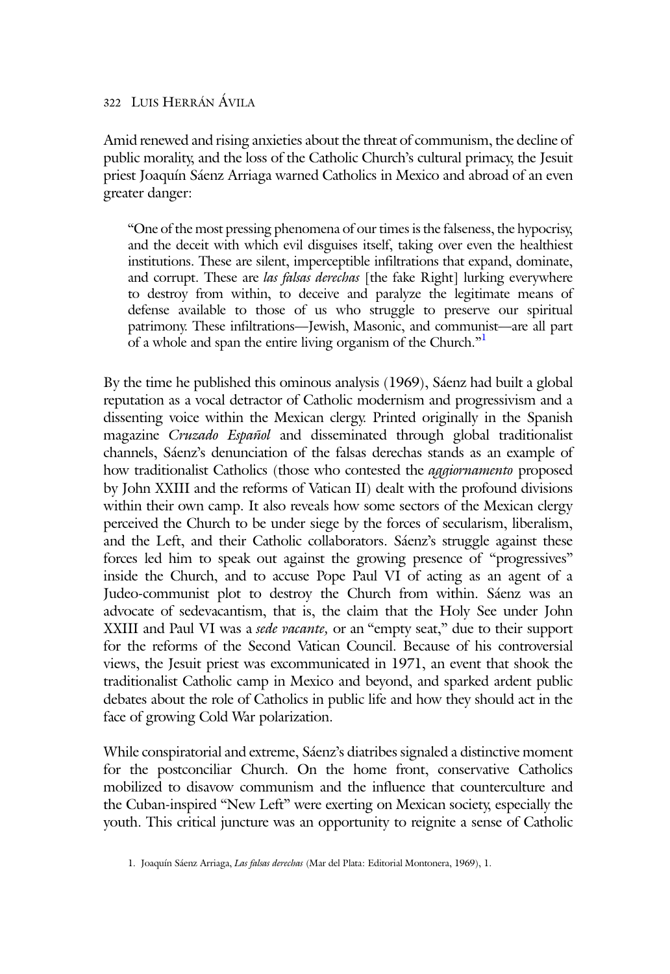Amid renewed and rising anxieties about the threat of communism, the decline of public morality, and the loss of the Catholic Church's cultural primacy, the Jesuit priest Joaquín Sáenz Arriaga warned Catholics in Mexico and abroad of an even greater danger:

"One of the most pressing phenomena of our times is the falseness, the hypocrisy, and the deceit with which evil disguises itself, taking over even the healthiest institutions. These are silent, imperceptible infiltrations that expand, dominate, and corrupt. These are las falsas derechas [the fake Right] lurking everywhere to destroy from within, to deceive and paralyze the legitimate means of defense available to those of us who struggle to preserve our spiritual patrimony. These infiltrations—Jewish, Masonic, and communist—are all part of a whole and span the entire living organism of the Church."<sup>1</sup>

By the time he published this ominous analysis (1969), Sáenz had built a global reputation as a vocal detractor of Catholic modernism and progressivism and a dissenting voice within the Mexican clergy. Printed originally in the Spanish magazine Cruzado Español and disseminated through global traditionalist channels, Sáenz's denunciation of the falsas derechas stands as an example of how traditionalist Catholics (those who contested the *aggiornamento* proposed by John XXIII and the reforms of Vatican II) dealt with the profound divisions within their own camp. It also reveals how some sectors of the Mexican clergy perceived the Church to be under siege by the forces of secularism, liberalism, and the Left, and their Catholic collaborators. Sáenz's struggle against these forces led him to speak out against the growing presence of "progressives" inside the Church, and to accuse Pope Paul VI of acting as an agent of a Judeo-communist plot to destroy the Church from within. Sáenz was an advocate of sedevacantism, that is, the claim that the Holy See under John XXIII and Paul VI was a *sede vacante*, or an "empty seat," due to their support for the reforms of the Second Vatican Council. Because of his controversial views, the Jesuit priest was excommunicated in 1971, an event that shook the traditionalist Catholic camp in Mexico and beyond, and sparked ardent public debates about the role of Catholics in public life and how they should act in the face of growing Cold War polarization.

While conspiratorial and extreme, Sáenz's diatribes signaled a distinctive moment for the postconciliar Church. On the home front, conservative Catholics mobilized to disavow communism and the influence that counterculture and the Cuban-inspired "New Left" were exerting on Mexican society, especially the youth. This critical juncture was an opportunity to reignite a sense of Catholic

<sup>1.</sup> Joaquín Sáenz Arriaga, Las falsas derechas (Mar del Plata: Editorial Montonera, 1969), 1.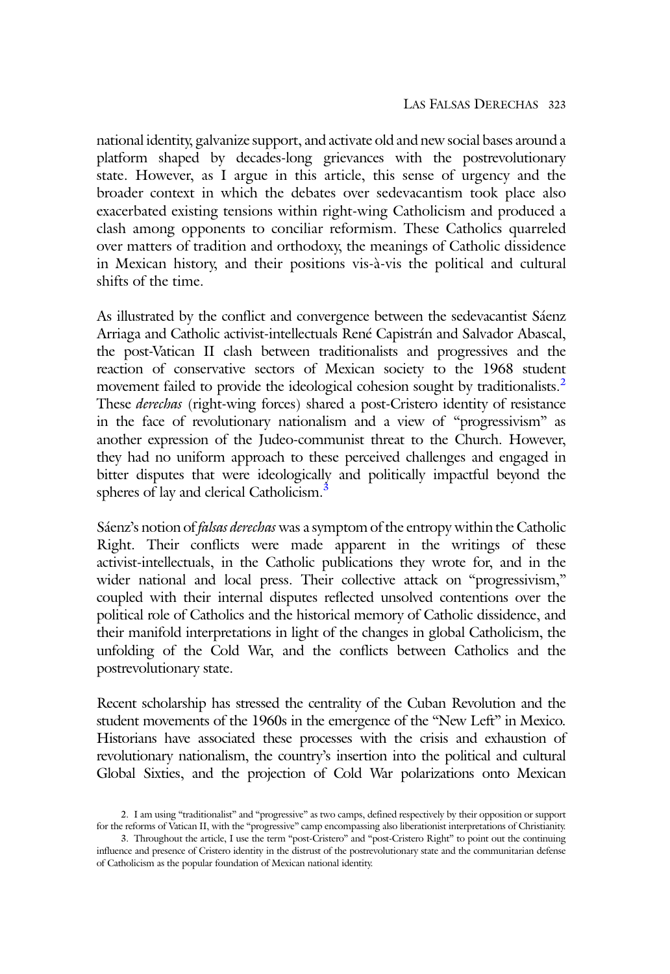national identity, galvanize support, and activate old and new social bases around a platform shaped by decades-long grievances with the postrevolutionary state. However, as I argue in this article, this sense of urgency and the broader context in which the debates over sedevacantism took place also exacerbated existing tensions within right-wing Catholicism and produced a clash among opponents to conciliar reformism. These Catholics quarreled over matters of tradition and orthodoxy, the meanings of Catholic dissidence in Mexican history, and their positions vis-à-vis the political and cultural shifts of the time.

As illustrated by the conflict and convergence between the sedevacantist Sáenz Arriaga and Catholic activist-intellectuals René Capistrán and Salvador Abascal, the post-Vatican II clash between traditionalists and progressives and the reaction of conservative sectors of Mexican society to the 1968 student movement failed to provide the ideological cohesion sought by traditionalists.<sup>2</sup> These *derechas* (right-wing forces) shared a post-Cristero identity of resistance in the face of revolutionary nationalism and a view of "progressivism" as another expression of the Judeo-communist threat to the Church. However, they had no uniform approach to these perceived challenges and engaged in bitter disputes that were ideologically and politically impactful beyond the spheres of lay and clerical Catholicism.<sup>3</sup>

Sáenz's notion of falsas derechas was a symptom of the entropy within the Catholic Right. Their conflicts were made apparent in the writings of these activist-intellectuals, in the Catholic publications they wrote for, and in the wider national and local press. Their collective attack on "progressivism," coupled with their internal disputes reflected unsolved contentions over the political role of Catholics and the historical memory of Catholic dissidence, and their manifold interpretations in light of the changes in global Catholicism, the unfolding of the Cold War, and the conflicts between Catholics and the postrevolutionary state.

Recent scholarship has stressed the centrality of the Cuban Revolution and the student movements of the 1960s in the emergence of the "New Left" in Mexico. Historians have associated these processes with the crisis and exhaustion of revolutionary nationalism, the country's insertion into the political and cultural Global Sixties, and the projection of Cold War polarizations onto Mexican

<sup>2.</sup> I am using "traditionalist" and "progressive" as two camps, defined respectively by their opposition or support for the reforms of Vatican II, with the "progressive" camp encompassing also liberationist interpretations of Christianity.

<sup>3.</sup> Throughout the article, I use the term "post-Cristero" and "post-Cristero Right" to point out the continuing influence and presence of Cristero identity in the distrust of the postrevolutionary state and the communitarian defense of Catholicism as the popular foundation of Mexican national identity.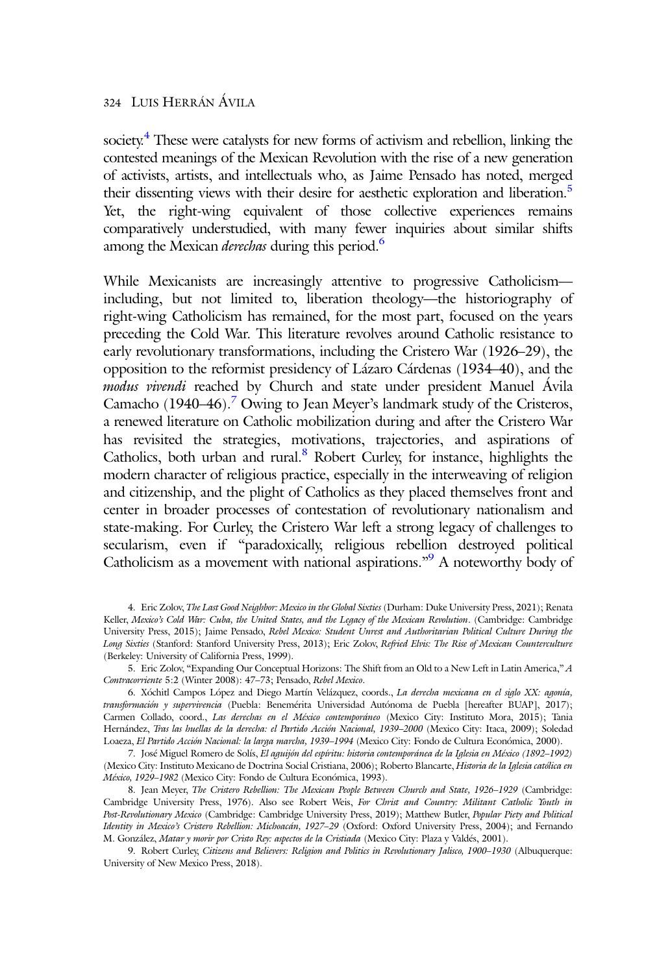society.<sup>4</sup> These were catalysts for new forms of activism and rebellion, linking the contested meanings of the Mexican Revolution with the rise of a new generation of activists, artists, and intellectuals who, as Jaime Pensado has noted, merged their dissenting views with their desire for aesthetic exploration and liberation.<sup>5</sup> Yet, the right-wing equivalent of those collective experiences remains comparatively understudied, with many fewer inquiries about similar shifts among the Mexican *derechas* during this period.<sup>6</sup>

While Mexicanists are increasingly attentive to progressive Catholicism including, but not limited to, liberation theology—the historiography of right-wing Catholicism has remained, for the most part, focused on the years preceding the Cold War. This literature revolves around Catholic resistance to early revolutionary transformations, including the Cristero War (1926–29), the opposition to the reformist presidency of Lázaro Cárdenas (1934–40), and the modus vivendi reached by Church and state under president Manuel Ávila Camacho  $(1940-46)$ .<sup>7</sup> Owing to Jean Meyer's landmark study of the Cristeros, a renewed literature on Catholic mobilization during and after the Cristero War has revisited the strategies, motivations, trajectories, and aspirations of Catholics, both urban and rural.<sup>8</sup> Robert Curley, for instance, highlights the modern character of religious practice, especially in the interweaving of religion and citizenship, and the plight of Catholics as they placed themselves front and center in broader processes of contestation of revolutionary nationalism and state-making. For Curley, the Cristero War left a strong legacy of challenges to secularism, even if "paradoxically, religious rebellion destroyed political Catholicism as a movement with national aspirations."<sup>9</sup> A noteworthy body of

9. Robert Curley, Citizens and Believers: Religion and Politics in Revolutionary Jalisco, 1900–1930 (Albuquerque: University of New Mexico Press, 2018).

<sup>4.</sup> Eric Zolov, The Last Good Neighbor: Mexico in the Global Sixties (Durham: Duke University Press, 2021); Renata Keller, Mexico's Cold War: Cuba, the United States, and the Legacy of the Mexican Revolution. (Cambridge: Cambridge University Press, 2015); Jaime Pensado, Rebel Mexico: Student Unrest and Authoritarian Political Culture During the Long Sixties (Stanford: Stanford University Press, 2013); Eric Zolov, Refried Elvis: The Rise of Mexican Counterculture (Berkeley: University of California Press, 1999).

<sup>5.</sup> Eric Zolov, "Expanding Our Conceptual Horizons: The Shift from an Old to a New Left in Latin America," A Contracorriente 5:2 (Winter 2008): 47–73; Pensado, Rebel Mexico.

<sup>6.</sup> Xóchitl Campos López and Diego Martín Velázquez, coords., La derecha mexicana en el siglo XX: agonía, transformación y supervivencia (Puebla: Benemérita Universidad Autónoma de Puebla [hereafter BUAP], 2017); Carmen Collado, coord., Las derechas en el México contemporáneo (Mexico City: Instituto Mora, 2015); Tania Hernández, Tras las huellas de la derecha: el Partido Acción Nacional, 1939–2000 (Mexico City: Itaca, 2009); Soledad Loaeza, El Partido Acción Nacional: la larga marcha, 1939–1994 (Mexico City: Fondo de Cultura Económica, 2000).

<sup>7.</sup> José Miguel Romero de Solís, El aguijón del espíritu: historia contemporánea de la Iglesia en México (1892–1992) (Mexico City: Instituto Mexicano de Doctrina Social Cristiana, 2006); Roberto Blancarte, Historia de la Iglesia católica en México, 1929–1982 (Mexico City: Fondo de Cultura Económica, 1993).

<sup>8.</sup> Jean Meyer, The Cristero Rebellion: The Mexican People Between Church and State, 1926–1929 (Cambridge: Cambridge University Press, 1976). Also see Robert Weis, For Christ and Country: Militant Catholic Youth in Post-Revolutionary Mexico (Cambridge: Cambridge University Press, 2019); Matthew Butler, Popular Piety and Political Identity in Mexico's Cristero Rebellion: Michoacán, 1927–29 (Oxford: Oxford University Press, 2004); and Fernando M. González, Matar y morir por Cristo Rey: aspectos de la Cristiada (Mexico City: Plaza y Valdés, 2001).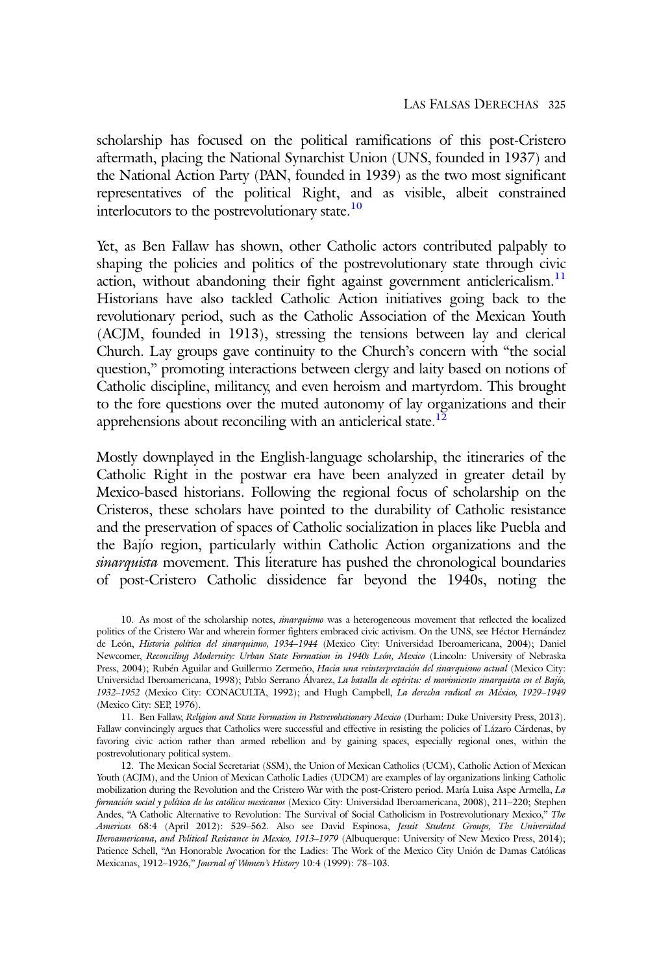scholarship has focused on the political ramifications of this post-Cristero aftermath, placing the National Synarchist Union (UNS, founded in 1937) and the National Action Party (PAN, founded in 1939) as the two most significant representatives of the political Right, and as visible, albeit constrained interlocutors to the postrevolutionary state. $10$ 

Yet, as Ben Fallaw has shown, other Catholic actors contributed palpably to shaping the policies and politics of the postrevolutionary state through civic action, without abandoning their fight against government anticlericalism. $<sup>11</sup>$ </sup> Historians have also tackled Catholic Action initiatives going back to the revolutionary period, such as the Catholic Association of the Mexican Youth (ACJM, founded in 1913), stressing the tensions between lay and clerical Church. Lay groups gave continuity to the Church's concern with "the social question," promoting interactions between clergy and laity based on notions of Catholic discipline, militancy, and even heroism and martyrdom. This brought to the fore questions over the muted autonomy of lay organizations and their apprehensions about reconciling with an anticlerical state.<sup>12</sup>

Mostly downplayed in the English-language scholarship, the itineraries of the Catholic Right in the postwar era have been analyzed in greater detail by Mexico-based historians. Following the regional focus of scholarship on the Cristeros, these scholars have pointed to the durability of Catholic resistance and the preservation of spaces of Catholic socialization in places like Puebla and the Bajío region, particularly within Catholic Action organizations and the sinarquista movement. This literature has pushed the chronological boundaries of post-Cristero Catholic dissidence far beyond the 1940s, noting the

<sup>10.</sup> As most of the scholarship notes, sinarquismo was a heterogeneous movement that reflected the localized politics of the Cristero War and wherein former fighters embraced civic activism. On the UNS, see Héctor Hernández de León, Historia política del sinarquismo, 1934–1944 (Mexico City: Universidad Iberoamericana, 2004); Daniel Newcomer, Reconciling Modernity: Urban State Formation in 1940s León, Mexico (Lincoln: University of Nebraska Press, 2004); Rubén Aguilar and Guillermo Zermeño, Hacia una reinterpretación del sinarquismo actual (Mexico City: Universidad Iberoamericana, 1998); Pablo Serrano Álvarez, La batalla de espíritu: el movimiento sinarquista en el Bajío, 1932–1952 (Mexico City: CONACULTA, 1992); and Hugh Campbell, La derecha radical en México, 1929–1949 (Mexico City: SEP, 1976).

<sup>11.</sup> Ben Fallaw, Religion and State Formation in Postrevolutionary Mexico (Durham: Duke University Press, 2013). Fallaw convincingly argues that Catholics were successful and effective in resisting the policies of Lázaro Cárdenas, by favoring civic action rather than armed rebellion and by gaining spaces, especially regional ones, within the postrevolutionary political system.

<sup>12.</sup> The Mexican Social Secretariat (SSM), the Union of Mexican Catholics (UCM), Catholic Action of Mexican Youth (ACJM), and the Union of Mexican Catholic Ladies (UDCM) are examples of lay organizations linking Catholic mobilization during the Revolution and the Cristero War with the post-Cristero period. María Luisa Aspe Armella, La formación social y política de los católicos mexicanos (Mexico City: Universidad Iberoamericana, 2008), 211–220; Stephen Andes, "A Catholic Alternative to Revolution: The Survival of Social Catholicism in Postrevolutionary Mexico," The Americas 68:4 (April 2012): 529–562. Also see David Espinosa, Jesuit Student Groups, The Universidad Iberoamericana, and Political Resistance in Mexico, 1913–1979 (Albuquerque: University of New Mexico Press, 2014); Patience Schell, "An Honorable Avocation for the Ladies: The Work of the Mexico City Unión de Damas Católicas Mexicanas, 1912–1926," Journal of Women's History 10:4 (1999): 78–103.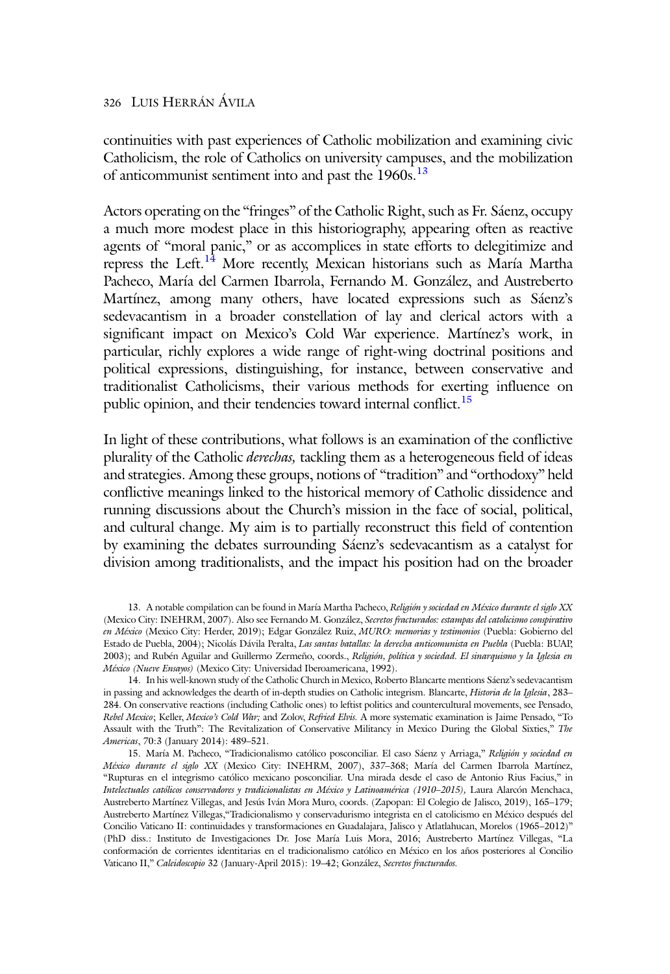continuities with past experiences of Catholic mobilization and examining civic Catholicism, the role of Catholics on university campuses, and the mobilization of anticommunist sentiment into and past the 1960s.<sup>13</sup>

Actors operating on the "fringes" of the Catholic Right, such as Fr. Sáenz, occupy a much more modest place in this historiography, appearing often as reactive agents of "moral panic," or as accomplices in state efforts to delegitimize and repress the Left.<sup>14</sup> More recently, Mexican historians such as María Martha Pacheco, María del Carmen Ibarrola, Fernando M. González, and Austreberto Martínez, among many others, have located expressions such as Sáenz's sedevacantism in a broader constellation of lay and clerical actors with a significant impact on Mexico's Cold War experience. Martínez's work, in particular, richly explores a wide range of right-wing doctrinal positions and political expressions, distinguishing, for instance, between conservative and traditionalist Catholicisms, their various methods for exerting influence on public opinion, and their tendencies toward internal conflict.<sup>15</sup>

In light of these contributions, what follows is an examination of the conflictive plurality of the Catholic *derechas*, tackling them as a heterogeneous field of ideas and strategies. Among these groups, notions of "tradition" and "orthodoxy" held conflictive meanings linked to the historical memory of Catholic dissidence and running discussions about the Church's mission in the face of social, political, and cultural change. My aim is to partially reconstruct this field of contention by examining the debates surrounding Sáenz's sedevacantism as a catalyst for division among traditionalists, and the impact his position had on the broader

<sup>13.</sup> A notable compilation can be found in María Martha Pacheco, Religión y sociedad en México durante el siglo XX (Mexico City: INEHRM, 2007). Also see Fernando M. González, Secretos fracturados: estampas del catolicismo conspirativo en México (Mexico City: Herder, 2019); Edgar González Ruiz, MURO: memorias y testimonios (Puebla: Gobierno del Estado de Puebla, 2004); Nicolás Dávila Peralta, Las santas batallas: la derecha anticomunista en Puebla (Puebla: BUAP, 2003); and Rubén Aguilar and Guillermo Zermeño, coords., Religión, política y sociedad. El sinarquismo y la Iglesia en México (Nueve Ensayos) (Mexico City: Universidad Iberoamericana, 1992).

<sup>14.</sup> In his well-known study of the Catholic Church in Mexico, Roberto Blancarte mentions Sáenz's sedevacantism in passing and acknowledges the dearth of in-depth studies on Catholic integrism. Blancarte, Historia de la Iglesia, 283-284. On conservative reactions (including Catholic ones) to leftist politics and countercultural movements, see Pensado, Rebel Mexico; Keller, Mexico's Cold War; and Zolov, Refried Elvis. A more systematic examination is Jaime Pensado, "To Assault with the Truth": The Revitalization of Conservative Militancy in Mexico During the Global Sixties," The Americas, 70:3 (January 2014): 489–521.

<sup>15.</sup> María M. Pacheco, "Tradicionalismo católico posconciliar. El caso Sáenz y Arriaga," Religión y sociedad en México durante el siglo XX (Mexico City: INEHRM, 2007), 337–368; María del Carmen Ibarrola Martínez, "Rupturas en el integrismo católico mexicano posconciliar. Una mirada desde el caso de Antonio Rius Facius," in Intelectuales católicos conservadores y tradicionalistas en México y Latinoamérica (1910–2015), Laura Alarcón Menchaca, Austreberto Martínez Villegas, and Jesús Iván Mora Muro, coords. (Zapopan: El Colegio de Jalisco, 2019), 165–179; Austreberto Martínez Villegas,"Tradicionalismo y conservadurismo integrista en el catolicismo en México después del Concilio Vaticano II: continuidades y transformaciones en Guadalajara, Jalisco y Atlatlahucan, Morelos (1965–2012)" (PhD diss.: Instituto de Investigaciones Dr. Jose María Luis Mora, 2016; Austreberto Martínez Villegas, "La conformación de corrientes identitarias en el tradicionalismo católico en México en los años posteriores al Concilio Vaticano II," Caleidoscopio 32 (January-April 2015): 19–42; González, Secretos fracturados.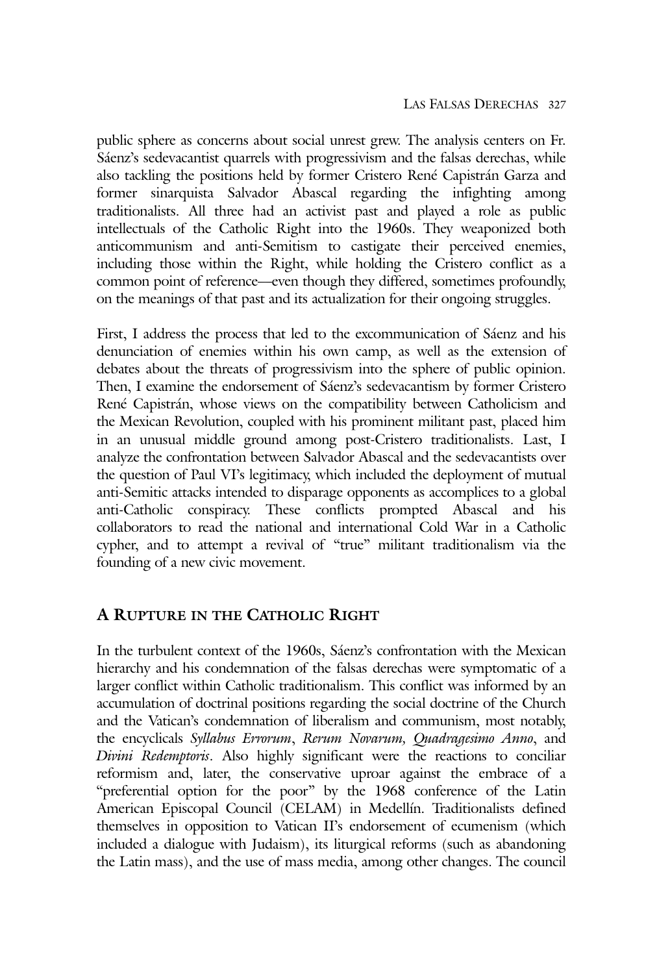public sphere as concerns about social unrest grew. The analysis centers on Fr. Sáenz's sedevacantist quarrels with progressivism and the falsas derechas, while also tackling the positions held by former Cristero René Capistrán Garza and former sinarquista Salvador Abascal regarding the infighting among traditionalists. All three had an activist past and played a role as public intellectuals of the Catholic Right into the 1960s. They weaponized both anticommunism and anti-Semitism to castigate their perceived enemies, including those within the Right, while holding the Cristero conflict as a common point of reference—even though they differed, sometimes profoundly, on the meanings of that past and its actualization for their ongoing struggles.

First, I address the process that led to the excommunication of Sáenz and his denunciation of enemies within his own camp, as well as the extension of debates about the threats of progressivism into the sphere of public opinion. Then, I examine the endorsement of Sáenz's sedevacantism by former Cristero René Capistrán, whose views on the compatibility between Catholicism and the Mexican Revolution, coupled with his prominent militant past, placed him in an unusual middle ground among post-Cristero traditionalists. Last, I analyze the confrontation between Salvador Abascal and the sedevacantists over the question of Paul VI's legitimacy, which included the deployment of mutual anti-Semitic attacks intended to disparage opponents as accomplices to a global anti-Catholic conspiracy. These conflicts prompted Abascal and his collaborators to read the national and international Cold War in a Catholic cypher, and to attempt a revival of "true" militant traditionalism via the founding of a new civic movement.

## A RUPTURE IN THE CATHOLIC RIGHT

In the turbulent context of the 1960s, Sáenz's confrontation with the Mexican hierarchy and his condemnation of the falsas derechas were symptomatic of a larger conflict within Catholic traditionalism. This conflict was informed by an accumulation of doctrinal positions regarding the social doctrine of the Church and the Vatican's condemnation of liberalism and communism, most notably, the encyclicals Syllabus Errorum, Rerum Novarum, Quadragesimo Anno, and Divini Redemptoris. Also highly significant were the reactions to conciliar reformism and, later, the conservative uproar against the embrace of a "preferential option for the poor" by the 1968 conference of the Latin American Episcopal Council (CELAM) in Medellín. Traditionalists defined themselves in opposition to Vatican II's endorsement of ecumenism (which included a dialogue with Judaism), its liturgical reforms (such as abandoning the Latin mass), and the use of mass media, among other changes. The council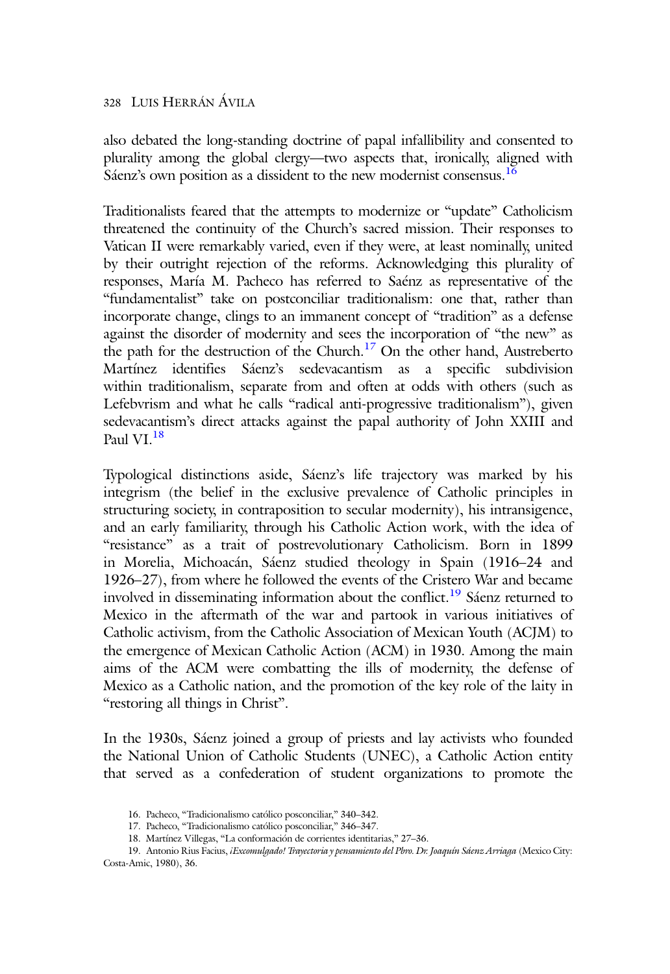also debated the long-standing doctrine of papal infallibility and consented to plurality among the global clergy—two aspects that, ironically, aligned with Sáenz's own position as a dissident to the new modernist consensus.<sup>16</sup>

Traditionalists feared that the attempts to modernize or "update" Catholicism threatened the continuity of the Church's sacred mission. Their responses to Vatican II were remarkably varied, even if they were, at least nominally, united by their outright rejection of the reforms. Acknowledging this plurality of responses, María M. Pacheco has referred to Saénz as representative of the "fundamentalist" take on postconciliar traditionalism: one that, rather than incorporate change, clings to an immanent concept of "tradition" as a defense against the disorder of modernity and sees the incorporation of "the new" as the path for the destruction of the Church.<sup>17</sup> On the other hand, Austreberto Martínez identifies Sáenz's sedevacantism as a specific subdivision within traditionalism, separate from and often at odds with others (such as Lefebvrism and what he calls "radical anti-progressive traditionalism"), given sedevacantism's direct attacks against the papal authority of John XXIII and Paul VI $^{18}$ 

Typological distinctions aside, Sáenz's life trajectory was marked by his integrism (the belief in the exclusive prevalence of Catholic principles in structuring society, in contraposition to secular modernity), his intransigence, and an early familiarity, through his Catholic Action work, with the idea of "resistance" as a trait of postrevolutionary Catholicism. Born in 1899 in Morelia, Michoacán, Sáenz studied theology in Spain (1916–24 and 1926–27), from where he followed the events of the Cristero War and became involved in disseminating information about the conflict.<sup>19</sup> Sáenz returned to Mexico in the aftermath of the war and partook in various initiatives of Catholic activism, from the Catholic Association of Mexican Youth (ACJM) to the emergence of Mexican Catholic Action (ACM) in 1930. Among the main aims of the ACM were combatting the ills of modernity, the defense of Mexico as a Catholic nation, and the promotion of the key role of the laity in "restoring all things in Christ".

In the 1930s, Sáenz joined a group of priests and lay activists who founded the National Union of Catholic Students (UNEC), a Catholic Action entity that served as a confederation of student organizations to promote the

<sup>16.</sup> Pacheco, "Tradicionalismo católico posconciliar," 340–342.

<sup>17.</sup> Pacheco, "Tradicionalismo católico posconciliar," 346–347.

<sup>18.</sup> Martínez Villegas, "La conformación de corrientes identitarias," 27–36.

<sup>19.</sup> Antonio Rius Facius, iExcomulgado! Trayectoria y pensamiento del Pbro. Dr. Joaquín Sáenz Arriaga (Mexico City: Costa-Amic, 1980), 36.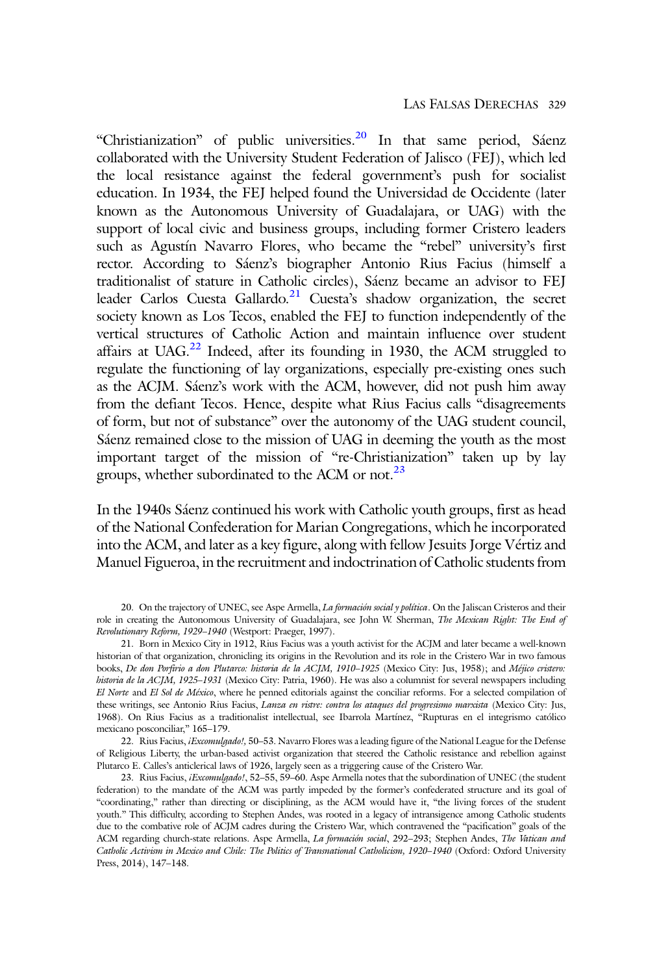"Christianization" of public universities.<sup>20</sup> In that same period, Sáenz collaborated with the University Student Federation of Jalisco (FEJ), which led the local resistance against the federal government's push for socialist education. In 1934, the FEJ helped found the Universidad de Occidente (later known as the Autonomous University of Guadalajara, or UAG) with the support of local civic and business groups, including former Cristero leaders such as Agustín Navarro Flores, who became the "rebel" university's first rector. According to Sáenz's biographer Antonio Rius Facius (himself a traditionalist of stature in Catholic circles), Sáenz became an advisor to FEJ leader Carlos Cuesta Gallardo.<sup>21</sup> Cuesta's shadow organization, the secret society known as Los Tecos, enabled the FEJ to function independently of the vertical structures of Catholic Action and maintain influence over student affairs at UAG. $^{22}$  Indeed, after its founding in 1930, the ACM struggled to regulate the functioning of lay organizations, especially pre-existing ones such as the ACJM. Sáenz's work with the ACM, however, did not push him away from the defiant Tecos. Hence, despite what Rius Facius calls "disagreements of form, but not of substance" over the autonomy of the UAG student council, Sáenz remained close to the mission of UAG in deeming the youth as the most important target of the mission of "re-Christianization" taken up by lay groups, whether subordinated to the ACM or not.<sup>23</sup>

In the 1940s Sáenz continued his work with Catholic youth groups, first as head of the National Confederation for Marian Congregations, which he incorporated into the ACM, and later as a key figure, along with fellow Jesuits Jorge Vértiz and Manuel Figueroa, in the recruitment and indoctrination of Catholic students from

22. Rius Facius, iExcomulgado!, 50-53. Navarro Flores was a leading figure of the National League for the Defense of Religious Liberty, the urban-based activist organization that steered the Catholic resistance and rebellion against Plutarco E. Calles's anticlerical laws of 1926, largely seen as a triggering cause of the Cristero War.

<sup>20.</sup> On the trajectory of UNEC, see Aspe Armella, La formación social y política. On the Jaliscan Cristeros and their role in creating the Autonomous University of Guadalajara, see John W. Sherman, The Mexican Right: The End of Revolutionary Reform, 1929–1940 (Westport: Praeger, 1997).

<sup>21.</sup> Born in Mexico City in 1912, Rius Facius was a youth activist for the ACJM and later became a well-known historian of that organization, chronicling its origins in the Revolution and its role in the Cristero War in two famous books, De don Porfirio a don Plutarco: historia de la ACJM, 1910–1925 (Mexico City: Jus, 1958); and Méjico cristero: historia de la ACJM, 1925-1931 (Mexico City: Patria, 1960). He was also a columnist for several newspapers including El Norte and El Sol de México, where he penned editorials against the conciliar reforms. For a selected compilation of these writings, see Antonio Rius Facius, Lanza en ristre: contra los ataques del progresismo marxista (Mexico City: Jus, 1968). On Rius Facius as a traditionalist intellectual, see Ibarrola Martínez, "Rupturas en el integrismo católico mexicano posconciliar," 165–179.

<sup>23.</sup> Rius Facius, *iExcomulgado!*, 52-55, 59-60. Aspe Armella notes that the subordination of UNEC (the student federation) to the mandate of the ACM was partly impeded by the former's confederated structure and its goal of "coordinating," rather than directing or disciplining, as the ACM would have it, "the living forces of the student youth." This difficulty, according to Stephen Andes, was rooted in a legacy of intransigence among Catholic students due to the combative role of ACJM cadres during the Cristero War, which contravened the "pacification" goals of the ACM regarding church-state relations. Aspe Armella, La formación social, 292-293; Stephen Andes, The Vatican and Catholic Activism in Mexico and Chile: The Politics of Transnational Catholicism, 1920–1940 (Oxford: Oxford University Press, 2014), 147–148.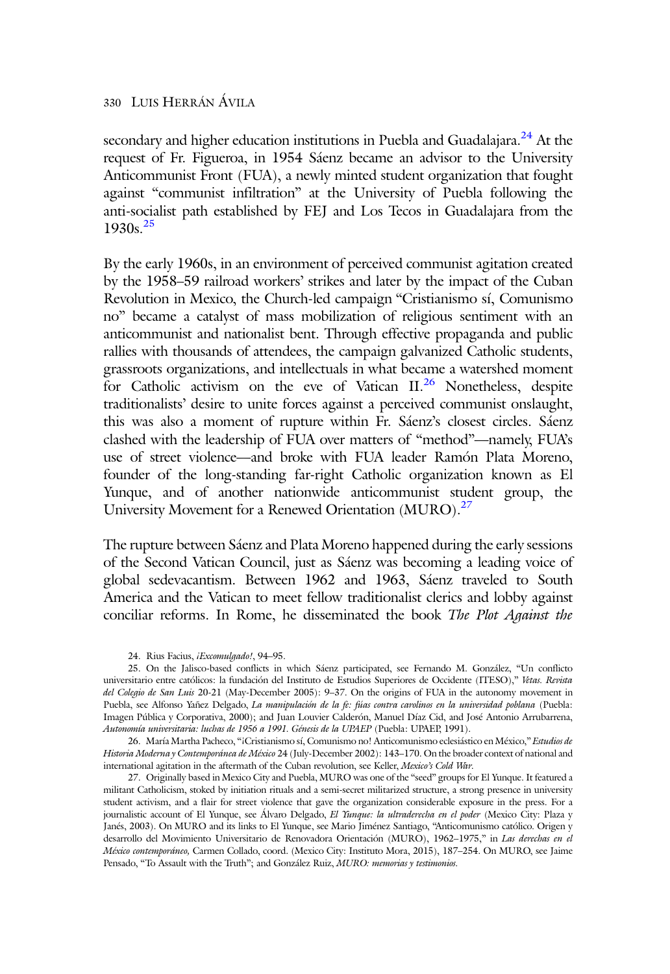secondary and higher education institutions in Puebla and Guadalajara.<sup>24</sup> At the request of Fr. Figueroa, in 1954 Sáenz became an advisor to the University Anticommunist Front (FUA), a newly minted student organization that fought against "communist infiltration" at the University of Puebla following the anti-socialist path established by FEJ and Los Tecos in Guadalajara from the  $1930s^{25}$ 

By the early 1960s, in an environment of perceived communist agitation created by the 1958–59 railroad workers' strikes and later by the impact of the Cuban Revolution in Mexico, the Church-led campaign "Cristianismo sí, Comunismo no" became a catalyst of mass mobilization of religious sentiment with an anticommunist and nationalist bent. Through effective propaganda and public rallies with thousands of attendees, the campaign galvanized Catholic students, grassroots organizations, and intellectuals in what became a watershed moment for Catholic activism on the eve of Vatican II.<sup>26</sup> Nonetheless, despite traditionalists' desire to unite forces against a perceived communist onslaught, this was also a moment of rupture within Fr. Sáenz's closest circles. Sáenz clashed with the leadership of FUA over matters of "method"—namely, FUA's use of street violence—and broke with FUA leader Ramón Plata Moreno, founder of the long-standing far-right Catholic organization known as El Yunque, and of another nationwide anticommunist student group, the University Movement for a Renewed Orientation (MURO).<sup>27</sup>

The rupture between Sáenz and Plata Moreno happened during the early sessions of the Second Vatican Council, just as Sáenz was becoming a leading voice of global sedevacantism. Between 1962 and 1963, Sáenz traveled to South America and the Vatican to meet fellow traditionalist clerics and lobby against conciliar reforms. In Rome, he disseminated the book The Plot Against the

26. María Martha Pacheco, "¡Cristianismo sí, Comunismo no! Anticomunismo eclesiástico en México," Estudios de Historia Moderna y Contemporánea de México 24 (July-December 2002): 143-170. On the broader context of national and international agitation in the aftermath of the Cuban revolution, see Keller, Mexico's Cold War.

27. Originally based in Mexico City and Puebla, MURO was one of the "seed" groups for El Yunque. It featured a militant Catholicism, stoked by initiation rituals and a semi-secret militarized structure, a strong presence in university student activism, and a flair for street violence that gave the organization considerable exposure in the press. For a journalistic account of El Yunque, see Álvaro Delgado, El Yunque: la ultraderecha en el poder (Mexico City: Plaza y Janés, 2003). On MURO and its links to El Yunque, see Mario Jiménez Santiago, "Anticomunismo católico. Origen y desarrollo del Movimiento Universitario de Renovadora Orientación (MURO), 1962-1975," in Las derechas en el México contemporáneo, Carmen Collado, coord. (Mexico City: Instituto Mora, 2015), 187–254. On MURO, see Jaime Pensado, "To Assault with the Truth"; and González Ruiz, MURO: memorias y testimonios.

<sup>24.</sup> Rius Facius, iExcomulgado!, 94-95.

<sup>25.</sup> On the Jalisco-based conflicts in which Sáenz participated, see Fernando M. González, "Un conflicto universitario entre católicos: la fundación del Instituto de Estudios Superiores de Occidente (ITESO)," Vetas. Revista del Colegio de San Luis 20-21 (May-December 2005): 9-37. On the origins of FUA in the autonomy movement in Puebla, see Alfonso Yañez Delgado, La manipulación de la fe: fúas contra carolinos en la universidad poblana (Puebla: Imagen Pública y Corporativa, 2000); and Juan Louvier Calderón, Manuel Díaz Cid, and José Antonio Arrubarrena, Autonomía universitaria: luchas de 1956 a 1991. Génesis de la UPAEP (Puebla: UPAEP, 1991).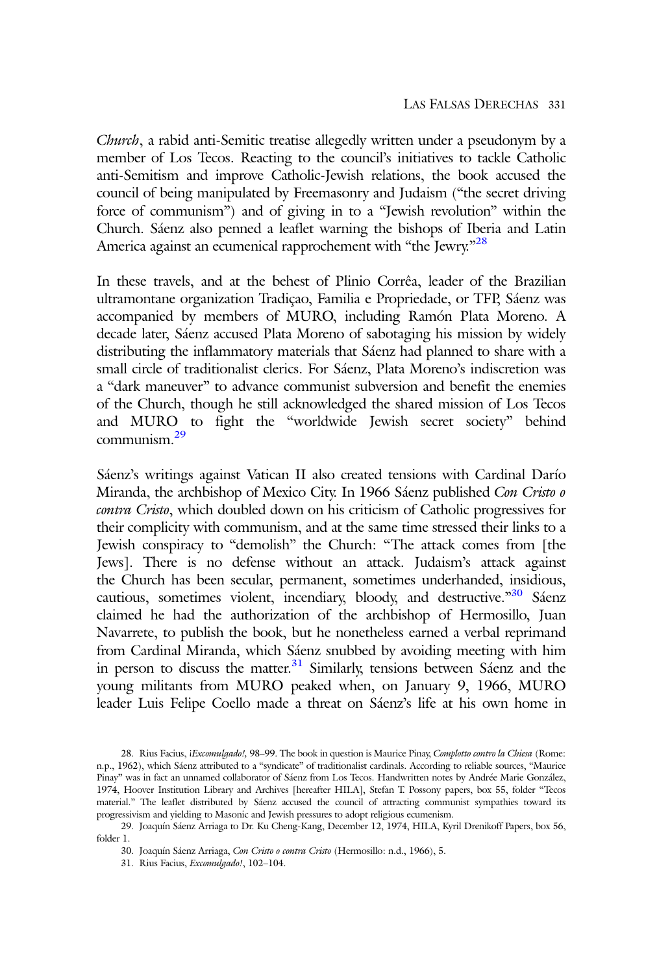Church, a rabid anti-Semitic treatise allegedly written under a pseudonym by a member of Los Tecos. Reacting to the council's initiatives to tackle Catholic anti-Semitism and improve Catholic-Jewish relations, the book accused the council of being manipulated by Freemasonry and Judaism ("the secret driving force of communism") and of giving in to a "Jewish revolution" within the Church. Sáenz also penned a leaflet warning the bishops of Iberia and Latin America against an ecumenical rapprochement with "the Jewry."<sup>28</sup>

In these travels, and at the behest of Plinio Corrêa, leader of the Brazilian ultramontane organization Tradiçao, Familia e Propriedade, or TFP, Sáenz was accompanied by members of MURO, including Ramón Plata Moreno. A decade later, Sáenz accused Plata Moreno of sabotaging his mission by widely distributing the inflammatory materials that Sáenz had planned to share with a small circle of traditionalist clerics. For Sáenz, Plata Moreno's indiscretion was a "dark maneuver" to advance communist subversion and benefit the enemies of the Church, though he still acknowledged the shared mission of Los Tecos and MURO to fight the "worldwide Jewish secret society" behind communism.<sup>29</sup>

Sáenz's writings against Vatican II also created tensions with Cardinal Darío Miranda, the archbishop of Mexico City. In 1966 Sáenz published Con Cristo o contra Cristo, which doubled down on his criticism of Catholic progressives for their complicity with communism, and at the same time stressed their links to a Jewish conspiracy to "demolish" the Church: "The attack comes from [the Jews]. There is no defense without an attack. Judaism's attack against the Church has been secular, permanent, sometimes underhanded, insidious, cautious, sometimes violent, incendiary, bloody, and destructive."30 Sáenz claimed he had the authorization of the archbishop of Hermosillo, Juan Navarrete, to publish the book, but he nonetheless earned a verbal reprimand from Cardinal Miranda, which Sáenz snubbed by avoiding meeting with him in person to discuss the matter. $31$  Similarly, tensions between Sáenz and the young militants from MURO peaked when, on January 9, 1966, MURO leader Luis Felipe Coello made a threat on Sáenz's life at his own home in

<sup>28.</sup> Rius Facius, iExcomulgado!, 98-99. The book in question is Maurice Pinay, Complotto contro la Chiesa (Rome: n.p., 1962), which Sáenz attributed to a "syndicate" of traditionalist cardinals. According to reliable sources, "Maurice Pinay" was in fact an unnamed collaborator of Sáenz from Los Tecos. Handwritten notes by Andrée Marie González, 1974, Hoover Institution Library and Archives [hereafter HILA], Stefan T. Possony papers, box 55, folder "Tecos material." The leaflet distributed by Sáenz accused the council of attracting communist sympathies toward its progressivism and yielding to Masonic and Jewish pressures to adopt religious ecumenism.

<sup>29.</sup> Joaquín Sáenz Arriaga to Dr. Ku Cheng-Kang, December 12, 1974, HILA, Kyril Drenikoff Papers, box 56, folder 1.

<sup>30.</sup> Joaquín Sáenz Arriaga, Con Cristo o contra Cristo (Hermosillo: n.d., 1966), 5.

<sup>31.</sup> Rius Facius, Excomulgado!, 102–104.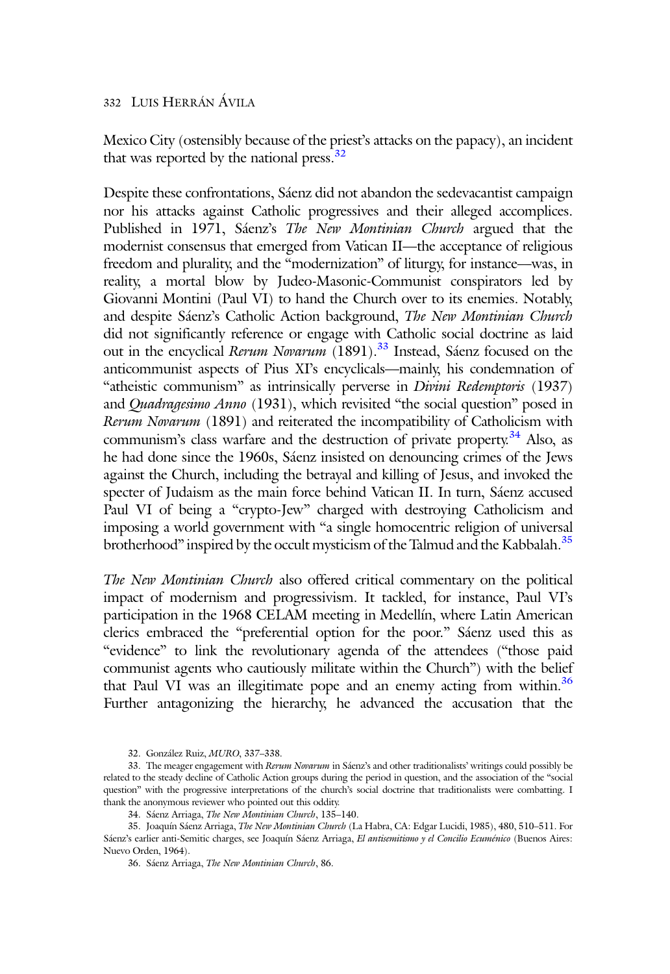Mexico City (ostensibly because of the priest's attacks on the papacy), an incident that was reported by the national press. $32$ 

Despite these confrontations, Sáenz did not abandon the sedevacantist campaign nor his attacks against Catholic progressives and their alleged accomplices. Published in 1971, Sáenz's The New Montinian Church argued that the modernist consensus that emerged from Vatican II—the acceptance of religious freedom and plurality, and the "modernization" of liturgy, for instance—was, in reality, a mortal blow by Judeo-Masonic-Communist conspirators led by Giovanni Montini (Paul VI) to hand the Church over to its enemies. Notably, and despite Sáenz's Catholic Action background, The New Montinian Church did not significantly reference or engage with Catholic social doctrine as laid out in the encyclical Rerum Novarum (1891).<sup>33</sup> Instead, Sáenz focused on the anticommunist aspects of Pius XI's encyclicals—mainly, his condemnation of "atheistic communism" as intrinsically perverse in Divini Redemptoris (1937) and Quadragesimo Anno (1931), which revisited "the social question" posed in Rerum Novarum (1891) and reiterated the incompatibility of Catholicism with communism's class warfare and the destruction of private property.<sup>34</sup> Also, as he had done since the 1960s, Sáenz insisted on denouncing crimes of the Jews against the Church, including the betrayal and killing of Jesus, and invoked the specter of Judaism as the main force behind Vatican II. In turn, Sáenz accused Paul VI of being a "crypto-Jew" charged with destroying Catholicism and imposing a world government with "a single homocentric religion of universal brotherhood" inspired by the occult mysticism of the Talmud and the Kabbalah.<sup>35</sup>

The New Montinian Church also offered critical commentary on the political impact of modernism and progressivism. It tackled, for instance, Paul VI's participation in the 1968 CELAM meeting in Medellín, where Latin American clerics embraced the "preferential option for the poor." Sáenz used this as "evidence" to link the revolutionary agenda of the attendees ("those paid communist agents who cautiously militate within the Church") with the belief that Paul VI was an illegitimate pope and an enemy acting from within.<sup>36</sup> Further antagonizing the hierarchy, he advanced the accusation that the

<sup>32.</sup> González Ruiz, MURO, 337–338.

<sup>33.</sup> The meager engagement with Rerum Novarum in Sáenz's and other traditionalists' writings could possibly be related to the steady decline of Catholic Action groups during the period in question, and the association of the "social question" with the progressive interpretations of the church's social doctrine that traditionalists were combatting. I thank the anonymous reviewer who pointed out this oddity.

<sup>34.</sup> Sáenz Arriaga, The New Montinian Church, 135–140.

<sup>35.</sup> Joaquín Sáenz Arriaga, The New Montinian Church (La Habra, CA: Edgar Lucidi, 1985), 480, 510–511. For Sáenz's earlier anti-Semitic charges, see Joaquín Sáenz Arriaga, El antisemitismo y el Concilio Ecuménico (Buenos Aires: Nuevo Orden, 1964).

<sup>36.</sup> Sáenz Arriaga, The New Montinian Church, 86.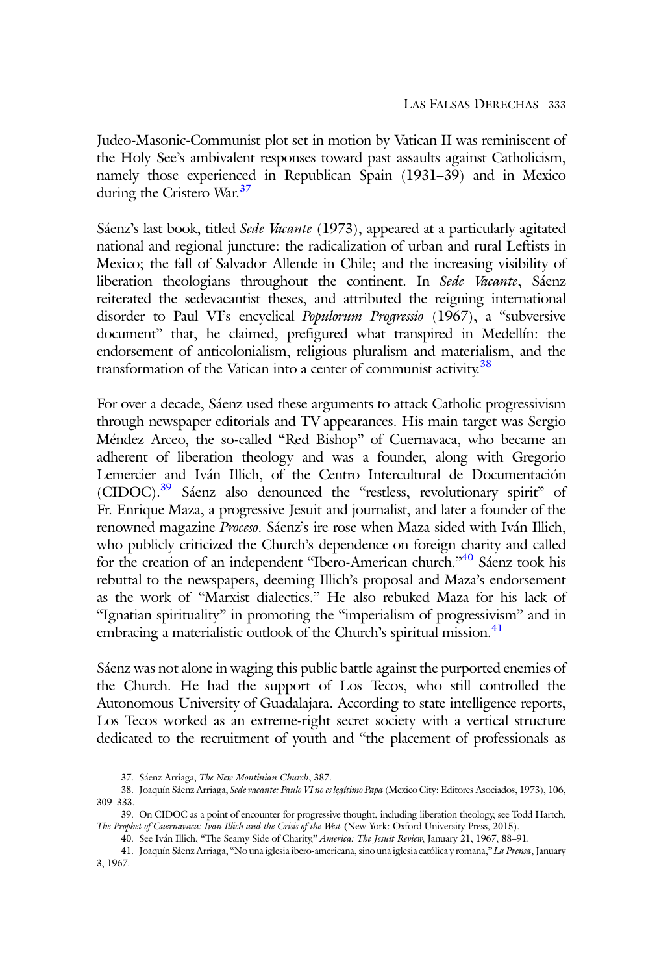Judeo-Masonic-Communist plot set in motion by Vatican II was reminiscent of the Holy See's ambivalent responses toward past assaults against Catholicism, namely those experienced in Republican Spain (1931–39) and in Mexico during the Cristero War.<sup>37</sup>

Sáenz's last book, titled Sede Vacante (1973), appeared at a particularly agitated national and regional juncture: the radicalization of urban and rural Leftists in Mexico; the fall of Salvador Allende in Chile; and the increasing visibility of liberation theologians throughout the continent. In Sede Vacante, Sáenz reiterated the sedevacantist theses, and attributed the reigning international disorder to Paul VI's encyclical Populorum Progressio (1967), a "subversive document" that, he claimed, prefigured what transpired in Medellín: the endorsement of anticolonialism, religious pluralism and materialism, and the transformation of the Vatican into a center of communist activity.<sup>38</sup>

For over a decade, Sáenz used these arguments to attack Catholic progressivism through newspaper editorials and TV appearances. His main target was Sergio Méndez Arceo, the so-called "Red Bishop" of Cuernavaca, who became an adherent of liberation theology and was a founder, along with Gregorio Lemercier and Iván Illich, of the Centro Intercultural de Documentación (CIDOC).39 Sáenz also denounced the "restless, revolutionary spirit" of Fr. Enrique Maza, a progressive Jesuit and journalist, and later a founder of the renowned magazine Proceso. Sáenz's ire rose when Maza sided with Iván Illich, who publicly criticized the Church's dependence on foreign charity and called for the creation of an independent "Ibero-American church."<sup>40</sup> Sáenz took his rebuttal to the newspapers, deeming Illich's proposal and Maza's endorsement as the work of "Marxist dialectics." He also rebuked Maza for his lack of "Ignatian spirituality" in promoting the "imperialism of progressivism" and in embracing a materialistic outlook of the Church's spiritual mission. $41$ 

Sáenz was not alone in waging this public battle against the purported enemies of the Church. He had the support of Los Tecos, who still controlled the Autonomous University of Guadalajara. According to state intelligence reports, Los Tecos worked as an extreme-right secret society with a vertical structure dedicated to the recruitment of youth and "the placement of professionals as

<sup>37.</sup> Sáenz Arriaga, The New Montinian Church, 387.

<sup>38.</sup> Joaquín Sáenz Arriaga, Sede vacante: Paulo VI no es legítimo Papa (Mexico City: Editores Asociados, 1973), 106, 309–333.

<sup>39.</sup> On CIDOC as a point of encounter for progressive thought, including liberation theology, see Todd Hartch, The Prophet of Cuernavaca: Ivan Illich and the Crisis of the West (New York: Oxford University Press, 2015).

<sup>40.</sup> See Iván Illich, "The Seamy Side of Charity," America: The Jesuit Review, January 21, 1967, 88–91.

<sup>41.</sup> Joaquín Sáenz Arriaga, "No una iglesia ibero-americana, sino una iglesia católica y romana," La Prensa, January 3, 1967.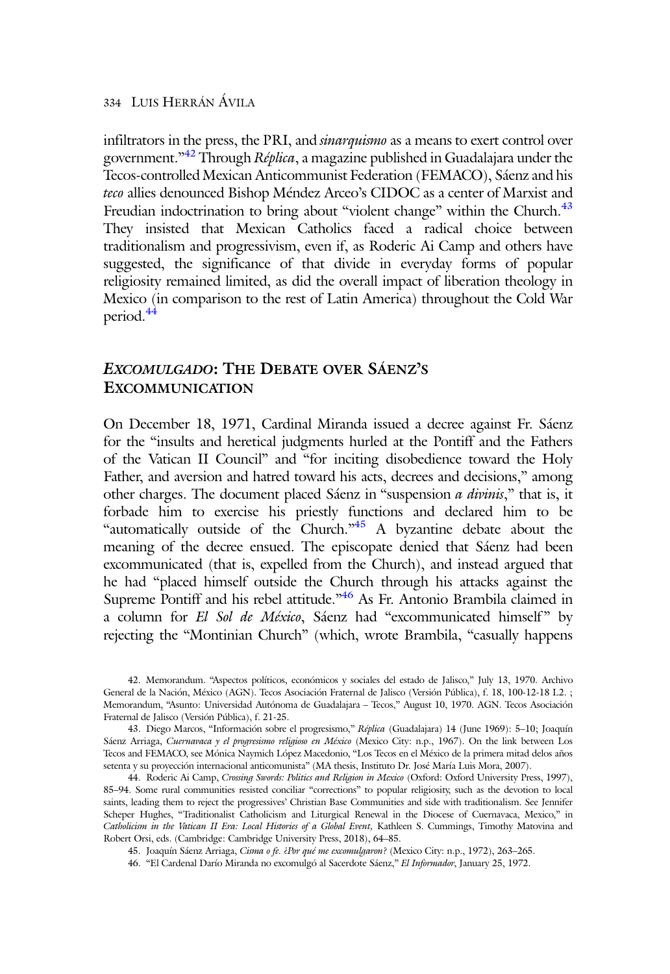infiltrators in the press, the PRI, and *sinarquismo* as a means to exert control over government."<sup>42</sup> Through *Réplica* , a magazine published in Guadalajara under the Tecos-controlled Mexican Anticommunist Federation (FEMACO), Sáenz and his teco allies denounced Bishop Méndez Arceo's CIDOC as a center of Marxist and Freudian indoctrination to bring about "violent change" within the Church.<sup>43</sup> They insisted that Mexican Catholics faced a radical choice between traditionalism and progressivism, even if, as Roderic Ai Camp and others have suggested, the significance of that divide in everyday forms of popular religiosity remained limited, as did the overall impact of liberation theology in Mexico (in comparison to the rest of Latin America) throughout the Cold War period.<sup>44</sup>

## EXCOMULGADO: THE DEBATE OVER SÁENZ'S EXCOMMUNICATION

On December 18, 1971, Cardinal Miranda issued a decree against Fr. Sáenz for the "insults and heretical judgments hurled at the Pontiff and the Fathers of the Vatican II Council" and "for inciting disobedience toward the Holy Father, and aversion and hatred toward his acts, decrees and decisions," among other charges. The document placed Sáenz in "suspension *a divinis*," that is, it forbade him to exercise his priestly functions and declared him to be "automatically outside of the Church." A byzantine debate about the meaning of the decree ensued. The episcopate denied that Sáenz had been excommunicated (that is, expelled from the Church), and instead argued that he had "placed himself outside the Church through his attacks against the Supreme Pontiff and his rebel attitude."<sup>46</sup> As Fr. Antonio Brambila claimed in a column for El Sol de México, Sáenz had "excommunicated himself" by rejecting the "Montinian Church" (which, wrote Brambila, "casually happens

<sup>42.</sup> Memorandum. "Aspectos políticos, económicos y sociales del estado de Jalisco," July 13, 1970. Archivo General de la Nación, México (AGN). Tecos Asociación Fraternal de Jalisco (Versión Pública), f. 18, 100-12-18 L2. ; Memorandum, "Asunto: Universidad Autónoma de Guadalajara – Tecos," August 10, 1970. AGN. Tecos Asociación Fraternal de Jalisco (Versión Pública), f. 21-25.

<sup>43.</sup> Diego Marcos, "Información sobre el progresismo," Réplica (Guadalajara) 14 (June 1969): 5–10; Joaquín Sáenz Arriaga, Cuernavaca y el progresismo religioso en México (Mexico City: n.p., 1967). On the link between Los Tecos and FEMACO, see Mónica Naymich López Macedonio, "Los Tecos en el México de la primera mitad delos años setenta y su proyección internacional anticomunista" (MA thesis, Instituto Dr. José María Luis Mora, 2007).

<sup>44.</sup> Roderic Ai Camp, Crossing Swords: Politics and Religion in Mexico (Oxford: Oxford University Press, 1997), 85–94. Some rural communities resisted conciliar "corrections" to popular religiosity, such as the devotion to local saints, leading them to reject the progressives' Christian Base Communities and side with traditionalism. See Jennifer Scheper Hughes, "Traditionalist Catholicism and Liturgical Renewal in the Diocese of Cuernavaca, Mexico," in Catholicism in the Vatican II Era: Local Histories of a Global Event, Kathleen S. Cummings, Timothy Matovina and Robert Orsi, eds. (Cambridge: Cambridge University Press, 2018), 64–85.

<sup>45.</sup> Joaquín Sáenz Arriaga, Cisma o fe. ¿Por qué me excomulgaron? (Mexico City: n.p., 1972), 263–265.

<sup>46.</sup> "El Cardenal Darío Miranda no excomulgó al Sacerdote Sáenz," El Informador, January 25, 1972.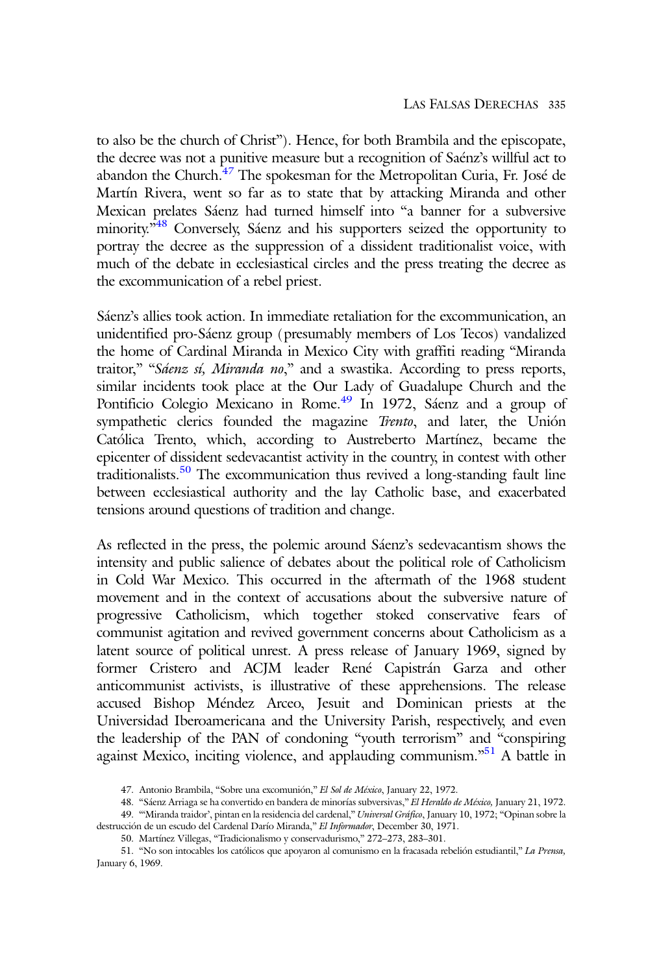to also be the church of Christ"). Hence, for both Brambila and the episcopate, the decree was not a punitive measure but a recognition of Saénz's willful act to abandon the Church. $47$  The spokesman for the Metropolitan Curia, Fr. José de Martín Rivera, went so far as to state that by attacking Miranda and other Mexican prelates Sáenz had turned himself into "a banner for a subversive minority.<sup>348</sup> Conversely, Sáenz and his supporters seized the opportunity to portray the decree as the suppression of a dissident traditionalist voice, with much of the debate in ecclesiastical circles and the press treating the decree as the excommunication of a rebel priest.

Sáenz's allies took action. In immediate retaliation for the excommunication, an unidentified pro-Sáenz group (presumably members of Los Tecos) vandalized the home of Cardinal Miranda in Mexico City with graffiti reading "Miranda traitor," "Sáenz sí, Miranda no," and a swastika. According to press reports, similar incidents took place at the Our Lady of Guadalupe Church and the Pontificio Colegio Mexicano in Rome.<sup>49</sup> In 1972, Sáenz and a group of sympathetic clerics founded the magazine Trento, and later, the Unión Católica Trento, which, according to Austreberto Martínez, became the epicenter of dissident sedevacantist activity in the country, in contest with other traditionalists.50 The excommunication thus revived a long-standing fault line between ecclesiastical authority and the lay Catholic base, and exacerbated tensions around questions of tradition and change.

As reflected in the press, the polemic around Sáenz's sedevacantism shows the intensity and public salience of debates about the political role of Catholicism in Cold War Mexico. This occurred in the aftermath of the 1968 student movement and in the context of accusations about the subversive nature of progressive Catholicism, which together stoked conservative fears of communist agitation and revived government concerns about Catholicism as a latent source of political unrest. A press release of January 1969, signed by former Cristero and ACJM leader René Capistrán Garza and other anticommunist activists, is illustrative of these apprehensions. The release accused Bishop Méndez Arceo, Jesuit and Dominican priests at the Universidad Iberoamericana and the University Parish, respectively, and even the leadership of the PAN of condoning "youth terrorism" and "conspiring against Mexico, inciting violence, and applauding communism."<sup>51</sup> A battle in

<sup>47.</sup> Antonio Brambila, "Sobre una excomunión," El Sol de México, January 22, 1972.

<sup>48.</sup> "Sáenz Arriaga se ha convertido en bandera de minorías subversivas," El Heraldo de México, January 21, 1972. 49. "Miranda traidor', pintan en la residencia del cardenal," Universal Gráfico, January 10, 1972; "Opinan sobre la

destrucción de un escudo del Cardenal Darío Miranda," El Informador, December 30, 1971. 50. Martínez Villegas, "Tradicionalismo y conservadurismo," 272–273, 283–301.

<sup>51.</sup> "No son intocables los católicos que apoyaron al comunismo en la fracasada rebelión estudiantil," La Prensa, January 6, 1969.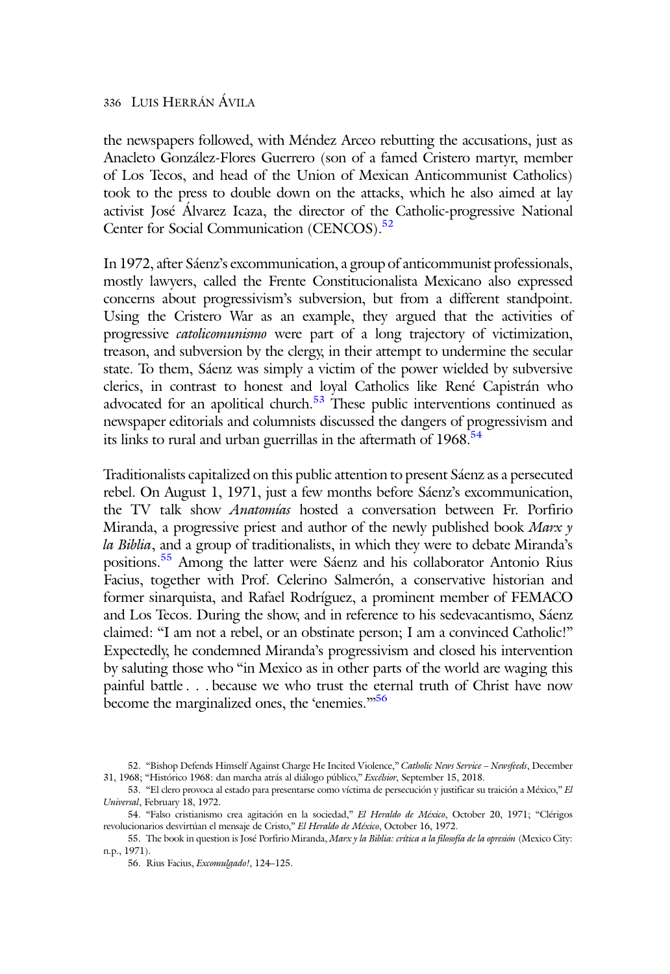the newspapers followed, with Méndez Arceo rebutting the accusations, just as Anacleto González-Flores Guerrero (son of a famed Cristero martyr, member of Los Tecos, and head of the Union of Mexican Anticommunist Catholics) took to the press to double down on the attacks, which he also aimed at lay activist José Álvarez Icaza, the director of the Catholic-progressive National Center for Social Communication (CENCOS).<sup>52</sup>

In 1972, after Sáenz's excommunication, a group of anticommunist professionals, mostly lawyers, called the Frente Constitucionalista Mexicano also expressed concerns about progressivism's subversion, but from a different standpoint. Using the Cristero War as an example, they argued that the activities of progressive catolicomunismo were part of a long trajectory of victimization, treason, and subversion by the clergy, in their attempt to undermine the secular state. To them, Sáenz was simply a victim of the power wielded by subversive clerics, in contrast to honest and loyal Catholics like René Capistrán who advocated for an apolitical church. $53$  These public interventions continued as newspaper editorials and columnists discussed the dangers of progressivism and its links to rural and urban guerrillas in the aftermath of  $1968.^{54}$ 

Traditionalists capitalized on this public attention to present Sáenz as a persecuted rebel. On August 1, 1971, just a few months before Sáenz's excommunication, the TV talk show Anatomías hosted a conversation between Fr. Porfirio Miranda, a progressive priest and author of the newly published book Marx  $\gamma$ la Biblia, and a group of traditionalists, in which they were to debate Miranda's positions.<sup>55</sup> Among the latter were Sáenz and his collaborator Antonio Rius Facius, together with Prof. Celerino Salmerón, a conservative historian and former sinarquista, and Rafael Rodríguez, a prominent member of FEMACO and Los Tecos. During the show, and in reference to his sedevacantismo, Sáenz claimed: "I am not a rebel, or an obstinate person; I am a convinced Catholic!" Expectedly, he condemned Miranda's progressivism and closed his intervention by saluting those who "in Mexico as in other parts of the world are waging this painful battle . . . because we who trust the eternal truth of Christ have now become the marginalized ones, the 'enemies."<sup>56</sup>

<sup>52.</sup> "Bishop Defends Himself Against Charge He Incited Violence," Catholic News Service – Newsfeeds, December 31, 1968; "Histórico 1968: dan marcha atrás al diálogo público," Excélsior, September 15, 2018.

<sup>53.</sup> "El clero provoca al estado para presentarse como víctima de persecución y justificar su traición a México," El Universal, February 18, 1972.

<sup>54.</sup> "Falso cristianismo crea agitación en la sociedad," El Heraldo de México, October 20, 1971; "Clérigos revolucionarios desvirtúan el mensaje de Cristo," El Heraldo de México, October 16, 1972.

<sup>55.</sup> The book in question is José Porfirio Miranda, Marx y la Biblia: crítica a la filosofía de la opresión (Mexico City: n.p., 1971).

<sup>56.</sup> Rius Facius, Excomulgado!, 124–125.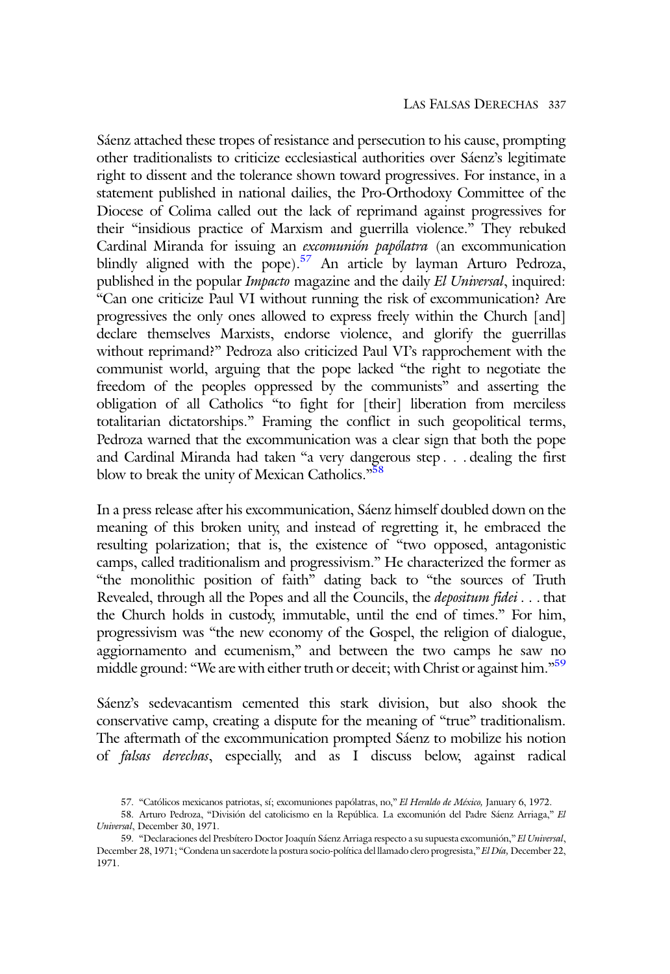Sáenz attached these tropes of resistance and persecution to his cause, prompting other traditionalists to criticize ecclesiastical authorities over Sáenz's legitimate right to dissent and the tolerance shown toward progressives. For instance, in a statement published in national dailies, the Pro-Orthodoxy Committee of the Diocese of Colima called out the lack of reprimand against progressives for their "insidious practice of Marxism and guerrilla violence." They rebuked Cardinal Miranda for issuing an excomunión papólatra (an excommunication blindly aligned with the pope).<sup>57</sup> An article by layman Arturo Pedroza, published in the popular *Impacto* magazine and the daily El Universal, inquired: "Can one criticize Paul VI without running the risk of excommunication? Are progressives the only ones allowed to express freely within the Church [and] declare themselves Marxists, endorse violence, and glorify the guerrillas without reprimand?" Pedroza also criticized Paul VI's rapprochement with the communist world, arguing that the pope lacked "the right to negotiate the freedom of the peoples oppressed by the communists" and asserting the obligation of all Catholics "to fight for [their] liberation from merciless totalitarian dictatorships." Framing the conflict in such geopolitical terms, Pedroza warned that the excommunication was a clear sign that both the pope and Cardinal Miranda had taken "a very dangerous step . . . dealing the first blow to break the unity of Mexican Catholics."<sup>58</sup>

In a press release after his excommunication, Sáenz himself doubled down on the meaning of this broken unity, and instead of regretting it, he embraced the resulting polarization; that is, the existence of "two opposed, antagonistic camps, called traditionalism and progressivism." He characterized the former as "the monolithic position of faith" dating back to "the sources of Truth Revealed, through all the Popes and all the Councils, the *depositum fidei* . . . that the Church holds in custody, immutable, until the end of times." For him, progressivism was "the new economy of the Gospel, the religion of dialogue, aggiornamento and ecumenism," and between the two camps he saw no middle ground: "We are with either truth or deceit; with Christ or against him."<sup>59</sup>

Sáenz's sedevacantism cemented this stark division, but also shook the conservative camp, creating a dispute for the meaning of "true" traditionalism. The aftermath of the excommunication prompted Sáenz to mobilize his notion of falsas derechas, especially, and as I discuss below, against radical

<sup>57. &</sup>quot;Católicos mexicanos patriotas, sí; excomuniones papólatras, no," El Heraldo de México, January 6, 1972.

<sup>58.</sup> Arturo Pedroza, "División del catolicismo en la República. La excomunión del Padre Sáenz Arriaga," El Universal, December 30, 1971.

<sup>59.</sup> "Declaraciones del Presbítero Doctor Joaquín Sáenz Arriaga respecto a su supuesta excomunión," El Universal, December 28, 1971; "Condena un sacerdote la postura socio-política del llamado clero progresista," El Día, December 22, 1971.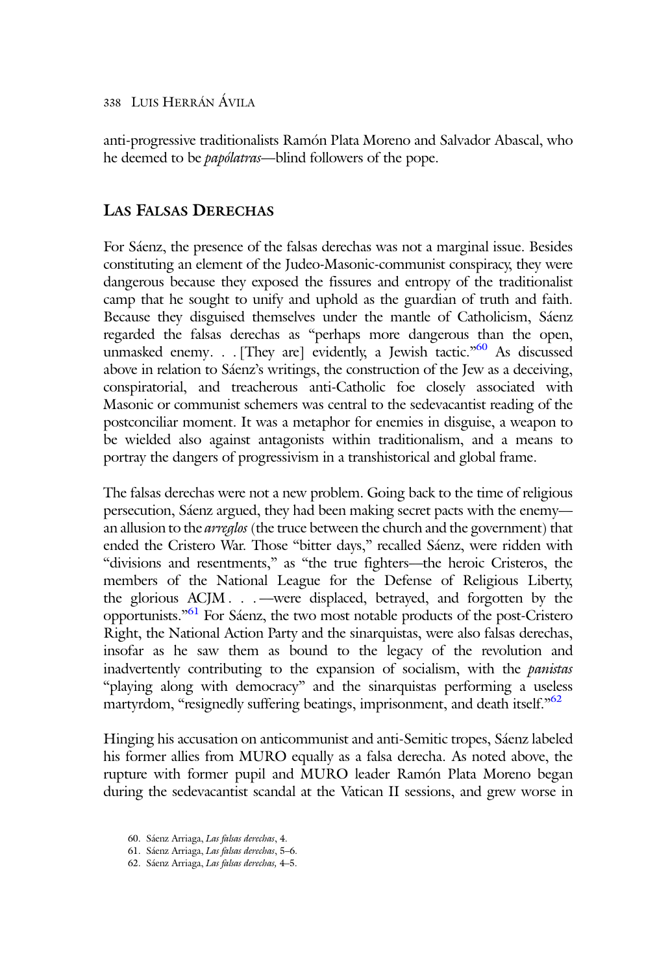anti-progressive traditionalists Ramón Plata Moreno and Salvador Abascal, who he deemed to be papólatras—blind followers of the pope.

#### LAS FALSAS DERECHAS

For Sáenz, the presence of the falsas derechas was not a marginal issue. Besides constituting an element of the Judeo-Masonic-communist conspiracy, they were dangerous because they exposed the fissures and entropy of the traditionalist camp that he sought to unify and uphold as the guardian of truth and faith. Because they disguised themselves under the mantle of Catholicism, Sáenz regarded the falsas derechas as "perhaps more dangerous than the open, unmasked enemy. . . [They are] evidently, a Jewish tactic."<sup>60</sup> As discussed above in relation to Sáenz's writings, the construction of the Jew as a deceiving, conspiratorial, and treacherous anti-Catholic foe closely associated with Masonic or communist schemers was central to the sedevacantist reading of the postconciliar moment. It was a metaphor for enemies in disguise, a weapon to be wielded also against antagonists within traditionalism, and a means to portray the dangers of progressivism in a transhistorical and global frame.

The falsas derechas were not a new problem. Going back to the time of religious persecution, Sáenz argued, they had been making secret pacts with the enemy an allusion to the *arreglos* (the truce between the church and the government) that ended the Cristero War. Those "bitter days," recalled Sáenz, were ridden with "divisions and resentments," as "the true fighters—the heroic Cristeros, the members of the National League for the Defense of Religious Liberty, the glorious ACJM . . . —were displaced, betrayed, and forgotten by the opportunists." <sup>61</sup> For Sáenz, the two most notable products of the post-Cristero Right, the National Action Party and the sinarquistas, were also falsas derechas, insofar as he saw them as bound to the legacy of the revolution and inadvertently contributing to the expansion of socialism, with the *panistas* "playing along with democracy" and the sinarquistas performing a useless martyrdom, "resignedly suffering beatings, imprisonment, and death itself."<sup>62</sup>

Hinging his accusation on anticommunist and anti-Semitic tropes, Sáenz labeled his former allies from MURO equally as a falsa derecha. As noted above, the rupture with former pupil and MURO leader Ramón Plata Moreno began during the sedevacantist scandal at the Vatican II sessions, and grew worse in

<sup>60.</sup> Sáenz Arriaga, Las falsas derechas, 4.

<sup>61.</sup> Sáenz Arriaga, Las falsas derechas, 5–6.

<sup>62.</sup> Sáenz Arriaga, Las falsas derechas, 4–5.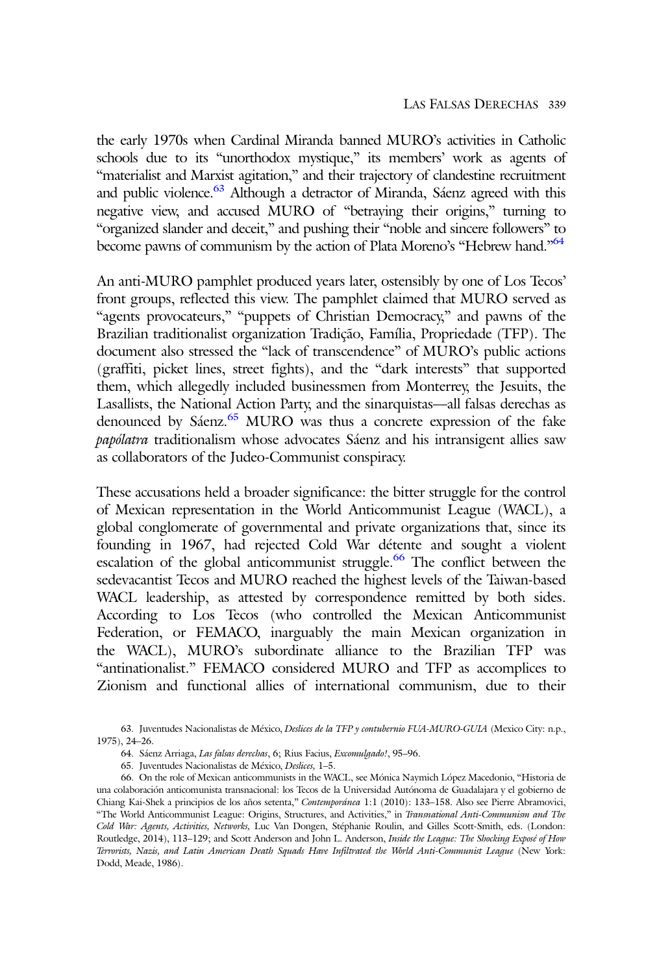the early 1970s when Cardinal Miranda banned MURO's activities in Catholic schools due to its "unorthodox mystique," its members' work as agents of "materialist and Marxist agitation," and their trajectory of clandestine recruitment and public violence.<sup>63</sup> Although a detractor of Miranda, Sáenz agreed with this negative view, and accused MURO of "betraying their origins," turning to "organized slander and deceit," and pushing their "noble and sincere followers" to become pawns of communism by the action of Plata Moreno's "Hebrew hand."<sup>64</sup>

An anti-MURO pamphlet produced years later, ostensibly by one of Los Tecos' front groups, reflected this view. The pamphlet claimed that MURO served as "agents provocateurs," "puppets of Christian Democracy," and pawns of the Brazilian traditionalist organization Tradição, Família, Propriedade (TFP). The document also stressed the "lack of transcendence" of MURO's public actions (graffiti, picket lines, street fights), and the "dark interests" that supported them, which allegedly included businessmen from Monterrey, the Jesuits, the Lasallists, the National Action Party, and the sinarquistas—all falsas derechas as denounced by Sáenz.<sup>65</sup> MURO was thus a concrete expression of the fake papólatra traditionalism whose advocates Sáenz and his intransigent allies saw as collaborators of the Judeo-Communist conspiracy.

These accusations held a broader significance: the bitter struggle for the control of Mexican representation in the World Anticommunist League (WACL), a global conglomerate of governmental and private organizations that, since its founding in 1967, had rejected Cold War détente and sought a violent escalation of the global anticommunist struggle.<sup>66</sup> The conflict between the sedevacantist Tecos and MURO reached the highest levels of the Taiwan-based WACL leadership, as attested by correspondence remitted by both sides. According to Los Tecos (who controlled the Mexican Anticommunist Federation, or FEMACO, inarguably the main Mexican organization in the WACL), MURO's subordinate alliance to the Brazilian TFP was "antinationalist." FEMACO considered MURO and TFP as accomplices to Zionism and functional allies of international communism, due to their

<sup>63.</sup> Juventudes Nacionalistas de México, Deslices de la TFP y contubernio FUA-MURO-GUIA (Mexico City: n.p., 1975), 24–26.

<sup>64.</sup> Sáenz Arriaga, Las falsas derechas, 6; Rius Facius, Excomulgado!, 95–96.

<sup>65.</sup> Juventudes Nacionalistas de México, Deslices, 1–5.

<sup>66.</sup> On the role of Mexican anticommunists in the WACL, see Mónica Naymich López Macedonio, "Historia de una colaboración anticomunista transnacional: los Tecos de la Universidad Autónoma de Guadalajara y el gobierno de Chiang Kai-Shek a principios de los años setenta," Contemporánea 1:1 (2010): 133–158. Also see Pierre Abramovici, "The World Anticommunist League: Origins, Structures, and Activities," in Transnational Anti-Communism and The Cold War: Agents, Activities, Networks, Luc Van Dongen, Stéphanie Roulin, and Gilles Scott-Smith, eds. (London: Routledge, 2014), 113-129; and Scott Anderson and John L. Anderson, Inside the League: The Shocking Exposé of How Terrorists, Nazis, and Latin American Death Squads Have Infiltrated the World Anti-Communist League (New York: Dodd, Meade, 1986).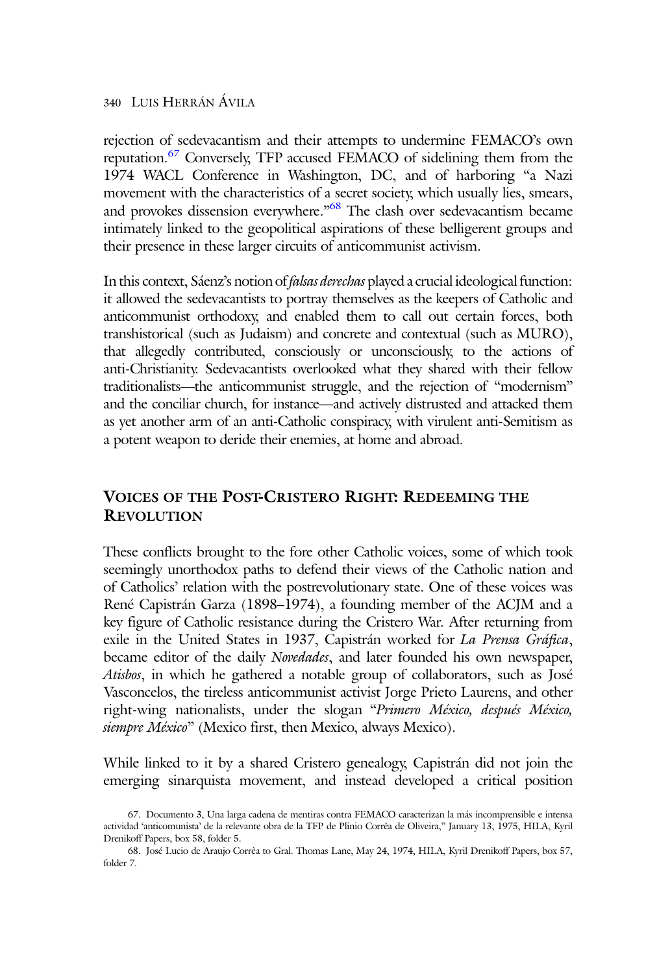rejection of sedevacantism and their attempts to undermine FEMACO's own reputation.<sup>67</sup> Conversely, TFP accused FEMACO of sidelining them from the 1974 WACL Conference in Washington, DC, and of harboring "a Nazi movement with the characteristics of a secret society, which usually lies, smears, and provokes dissension everywhere."<sup>68</sup> The clash over sedevacantism became intimately linked to the geopolitical aspirations of these belligerent groups and their presence in these larger circuits of anticommunist activism.

In this context, Sáenz's notion of *falsas derechas* played a crucial ideological function: it allowed the sedevacantists to portray themselves as the keepers of Catholic and anticommunist orthodoxy, and enabled them to call out certain forces, both transhistorical (such as Judaism) and concrete and contextual (such as MURO), that allegedly contributed, consciously or unconsciously, to the actions of anti-Christianity. Sedevacantists overlooked what they shared with their fellow traditionalists—the anticommunist struggle, and the rejection of "modernism" and the conciliar church, for instance—and actively distrusted and attacked them as yet another arm of an anti-Catholic conspiracy, with virulent anti-Semitism as a potent weapon to deride their enemies, at home and abroad.

## VOICES OF THE POST-CRISTERO RIGHT: REDEEMING THE **REVOLUTION**

These conflicts brought to the fore other Catholic voices, some of which took seemingly unorthodox paths to defend their views of the Catholic nation and of Catholics' relation with the postrevolutionary state. One of these voices was René Capistrán Garza (1898–1974), a founding member of the ACJM and a key figure of Catholic resistance during the Cristero War. After returning from exile in the United States in 1937, Capistrán worked for La Prensa Gráfica, became editor of the daily Novedades, and later founded his own newspaper, Atisbos, in which he gathered a notable group of collaborators, such as José Vasconcelos, the tireless anticommunist activist Jorge Prieto Laurens, and other right-wing nationalists, under the slogan "Primero México, después México, siempre México" (Mexico first, then Mexico, always Mexico).

While linked to it by a shared Cristero genealogy, Capistrán did not join the emerging sinarquista movement, and instead developed a critical position

<sup>67.</sup> Documento 3, Una larga cadena de mentiras contra FEMACO caracterizan la más incomprensible e intensa actividad 'anticomunista' de la relevante obra de la TFP de Plinio Corrêa de Oliveira," January 13, 1975, HILA, Kyril Drenikoff Papers, box 58, folder 5.

<sup>68.</sup> José Lucio de Araujo Corrêa to Gral. Thomas Lane, May 24, 1974, HILA, Kyril Drenikoff Papers, box 57, folder 7.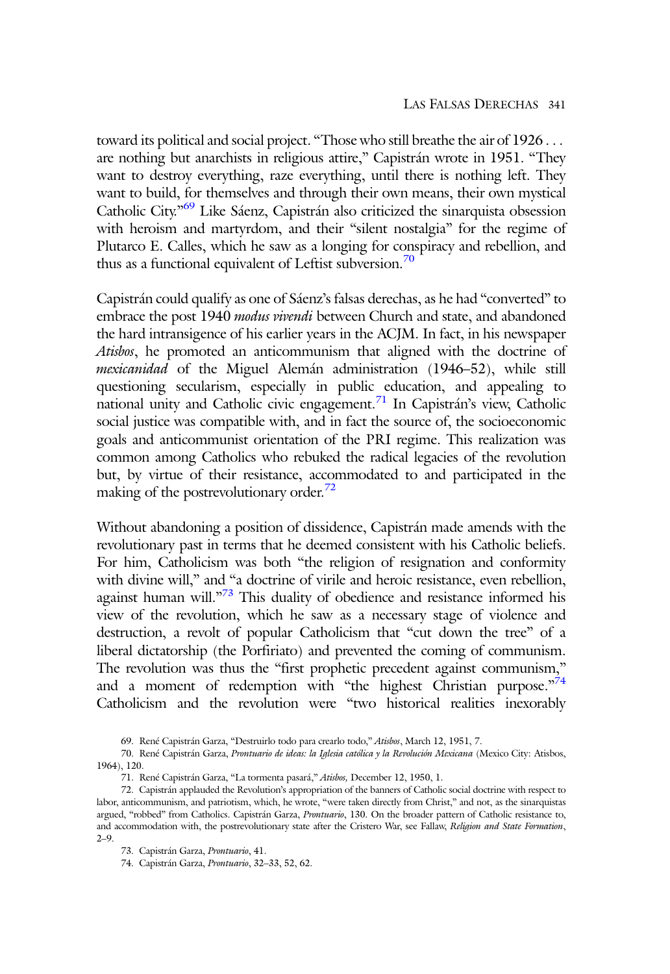toward its political and social project. "Those who still breathe the air of 1926 . . . are nothing but anarchists in religious attire," Capistrán wrote in 1951. "They want to destroy everything, raze everything, until there is nothing left. They want to build, for themselves and through their own means, their own mystical Catholic City."<sup>69</sup> Like Sáenz, Capistrán also criticized the sinarquista obsession with heroism and martyrdom, and their "silent nostalgia" for the regime of Plutarco E. Calles, which he saw as a longing for conspiracy and rebellion, and thus as a functional equivalent of Leftist subversion. $70$ 

Capistrán could qualify as one of Sáenz's falsas derechas, as he had "converted" to embrace the post 1940 modus vivendi between Church and state, and abandoned the hard intransigence of his earlier years in the ACJM. In fact, in his newspaper Atisbos, he promoted an anticommunism that aligned with the doctrine of mexicanidad of the Miguel Alemán administration (1946–52), while still questioning secularism, especially in public education, and appealing to national unity and Catholic civic engagement.71 In Capistrán's view, Catholic social justice was compatible with, and in fact the source of, the socioeconomic goals and anticommunist orientation of the PRI regime. This realization was common among Catholics who rebuked the radical legacies of the revolution but, by virtue of their resistance, accommodated to and participated in the making of the postrevolutionary order.<sup>72</sup>

Without abandoning a position of dissidence, Capistrán made amends with the revolutionary past in terms that he deemed consistent with his Catholic beliefs. For him, Catholicism was both "the religion of resignation and conformity with divine will," and "a doctrine of virile and heroic resistance, even rebellion, against human will."<sup>73</sup> This duality of obedience and resistance informed his view of the revolution, which he saw as a necessary stage of violence and destruction, a revolt of popular Catholicism that "cut down the tree" of a liberal dictatorship (the Porfiriato) and prevented the coming of communism. The revolution was thus the "first prophetic precedent against communism," and a moment of redemption with "the highest Christian purpose."74 Catholicism and the revolution were "two historical realities inexorably

<sup>69.</sup> René Capistrán Garza, "Destruirlo todo para crearlo todo," Atisbos, March 12, 1951, 7.

<sup>70.</sup> René Capistrán Garza, Prontuario de ideas: la Iglesia católica y la Revolución Mexicana (Mexico City: Atisbos, 1964), 120.

<sup>71.</sup> René Capistrán Garza, "La tormenta pasará," Atisbos, December 12, 1950, 1.

<sup>72.</sup> Capistrán applauded the Revolution's appropriation of the banners of Catholic social doctrine with respect to labor, anticommunism, and patriotism, which, he wrote, "were taken directly from Christ," and not, as the sinarquistas argued, "robbed" from Catholics. Capistrán Garza, Prontuario, 130. On the broader pattern of Catholic resistance to, and accommodation with, the postrevolutionary state after the Cristero War, see Fallaw, Religion and State Formation, 2–9.

<sup>73.</sup> Capistrán Garza, Prontuario, 41.

<sup>74.</sup> Capistrán Garza, Prontuario, 32–33, 52, 62.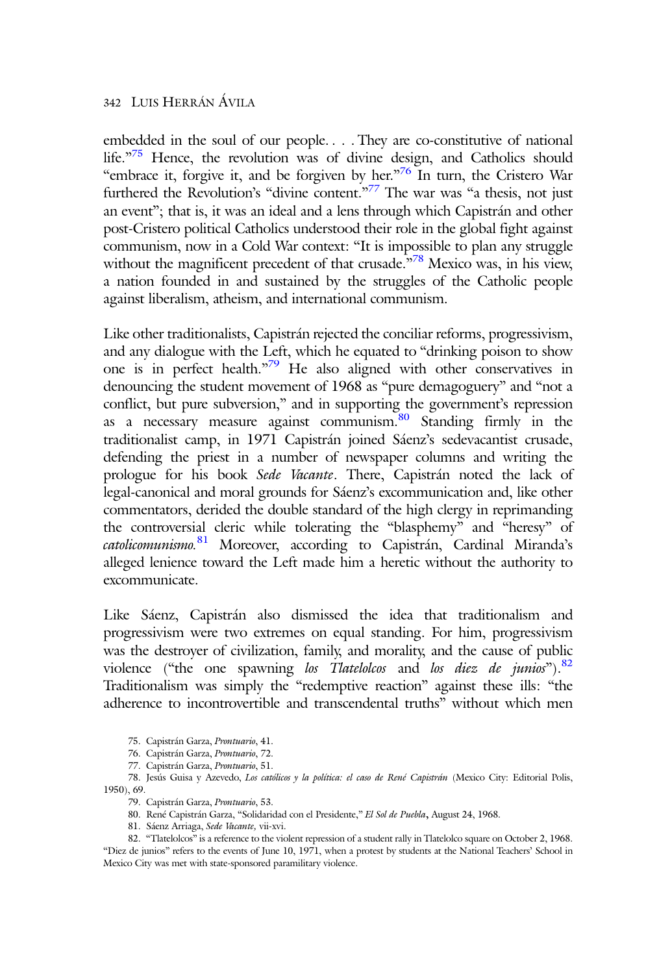embedded in the soul of our people. . . . They are co-constitutive of national life."<sup>75</sup> Hence, the revolution was of divine design, and Catholics should "embrace it, forgive it, and be forgiven by her."<sup>76</sup> In turn, the Cristero War furthered the Revolution's "divine content."<sup>77</sup> The war was "a thesis, not just an event"; that is, it was an ideal and a lens through which Capistrán and other post-Cristero political Catholics understood their role in the global fight against communism, now in a Cold War context: "It is impossible to plan any struggle without the magnificent precedent of that crusade.<sup>378</sup> Mexico was, in his view, a nation founded in and sustained by the struggles of the Catholic people against liberalism, atheism, and international communism.

Like other traditionalists, Capistrán rejected the conciliar reforms, progressivism, and any dialogue with the Left, which he equated to "drinking poison to show one is in perfect health."<sup>79</sup> He also aligned with other conservatives in denouncing the student movement of 1968 as "pure demagoguery" and "not a conflict, but pure subversion," and in supporting the government's repression as a necessary measure against communism.80 Standing firmly in the traditionalist camp, in 1971 Capistrán joined Sáenz's sedevacantist crusade, defending the priest in a number of newspaper columns and writing the prologue for his book Sede Vacante. There, Capistrán noted the lack of legal-canonical and moral grounds for Sáenz's excommunication and, like other commentators, derided the double standard of the high clergy in reprimanding the controversial cleric while tolerating the "blasphemy" and "heresy" of catolicomunismo. 81 Moreover, according to Capistrán, Cardinal Miranda's alleged lenience toward the Left made him a heretic without the authority to excommunicate.

Like Sáenz, Capistrán also dismissed the idea that traditionalism and progressivism were two extremes on equal standing. For him, progressivism was the destroyer of civilization, family, and morality, and the cause of public violence ("the one spawning los Tlatelolcos and los diez de junios").  $82$ Traditionalism was simply the "redemptive reaction" against these ills: "the adherence to incontrovertible and transcendental truths" without which men

75. Capistrán Garza, Prontuario, 41.

- 79. Capistrán Garza, Prontuario, 53.
- 80. René Capistrán Garza, "Solidaridad con el Presidente," El Sol de Puebla, August 24, 1968.
- 81. Sáenz Arriaga, Sede Vacante, vii-xvi.

82. "Tlatelolcos" is a reference to the violent repression of a student rally in Tlatelolco square on October 2, 1968. "Diez de junios" refers to the events of June 10, 1971, when a protest by students at the National Teachers' School in Mexico City was met with state-sponsored paramilitary violence.

<sup>76.</sup> Capistrán Garza, Prontuario, 72.

<sup>77.</sup> Capistrán Garza, Prontuario, 51.

<sup>78.</sup> Jesús Guisa y Azevedo, Los católicos y la política: el caso de René Capistrán (Mexico City: Editorial Polis, 1950), 69.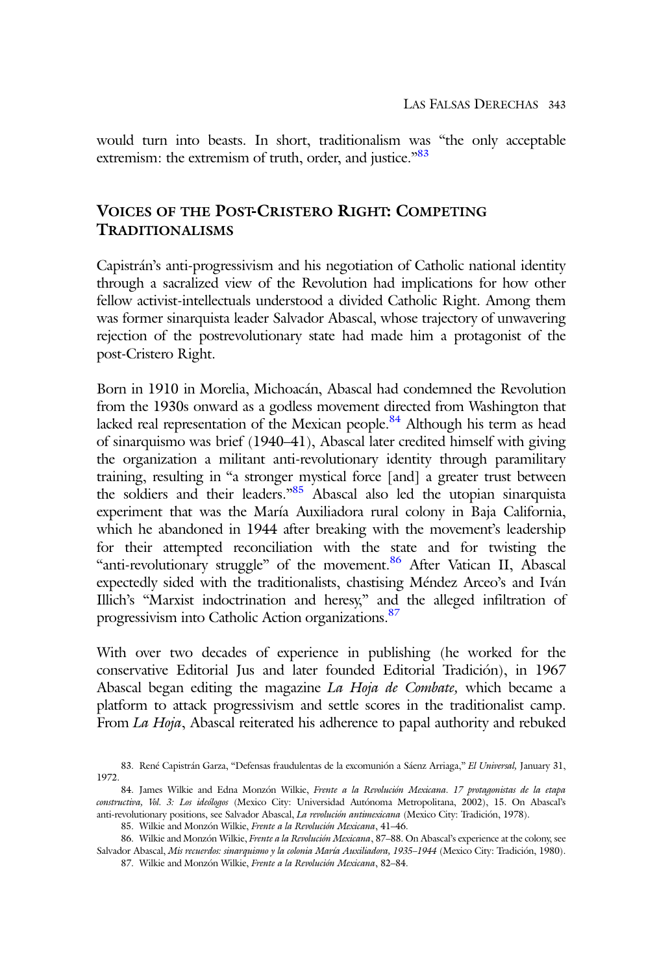would turn into beasts. In short, traditionalism was "the only acceptable extremism: the extremism of truth, order, and justice."<sup>83</sup>

## VOICES OF THE POST-CRISTERO RIGHT: COMPETING TRADITIONALISMS

Capistrán's anti-progressivism and his negotiation of Catholic national identity through a sacralized view of the Revolution had implications for how other fellow activist-intellectuals understood a divided Catholic Right. Among them was former sinarquista leader Salvador Abascal, whose trajectory of unwavering rejection of the postrevolutionary state had made him a protagonist of the post-Cristero Right.

Born in 1910 in Morelia, Michoacán, Abascal had condemned the Revolution from the 1930s onward as a godless movement directed from Washington that lacked real representation of the Mexican people. $84$  Although his term as head of sinarquismo was brief (1940–41), Abascal later credited himself with giving the organization a militant anti-revolutionary identity through paramilitary training, resulting in "a stronger mystical force [and] a greater trust between the soldiers and their leaders."<sup>85</sup> Abascal also led the utopian sinarquista experiment that was the María Auxiliadora rural colony in Baja California, which he abandoned in 1944 after breaking with the movement's leadership for their attempted reconciliation with the state and for twisting the "anti-revolutionary struggle" of the movement.<sup>86</sup> After Vatican II, Abascal expectedly sided with the traditionalists, chastising Méndez Arceo's and Iván Illich's "Marxist indoctrination and heresy," and the alleged infiltration of progressivism into Catholic Action organizations.<sup>87</sup>

With over two decades of experience in publishing (he worked for the conservative Editorial Jus and later founded Editorial Tradición), in 1967 Abascal began editing the magazine La Hoja de Combate, which became a platform to attack progressivism and settle scores in the traditionalist camp. From La Hoja, Abascal reiterated his adherence to papal authority and rebuked

87. Wilkie and Monzón Wilkie, Frente a la Revolución Mexicana, 82–84.

<sup>83.</sup> René Capistrán Garza, "Defensas fraudulentas de la excomunión a Sáenz Arriaga," El Universal, January 31, 1972.

<sup>84.</sup> James Wilkie and Edna Monzón Wilkie, Frente a la Revolución Mexicana. 17 protagonistas de la etapa constructiva, Vol. 3: Los ideólogos (Mexico City: Universidad Autónoma Metropolitana, 2002), 15. On Abascal's anti-revolutionary positions, see Salvador Abascal, La revolución antimexicana (Mexico City: Tradición, 1978).

<sup>85.</sup> Wilkie and Monzón Wilkie, Frente a la Revolución Mexicana, 41–46.

<sup>86.</sup> Wilkie and Monzón Wilkie, Frente a la Revolución Mexicana, 87-88. On Abascal's experience at the colony, see Salvador Abascal, Mis recuerdos: sinarquismo y la colonia María Auxiliadora, 1935-1944 (Mexico City: Tradición, 1980).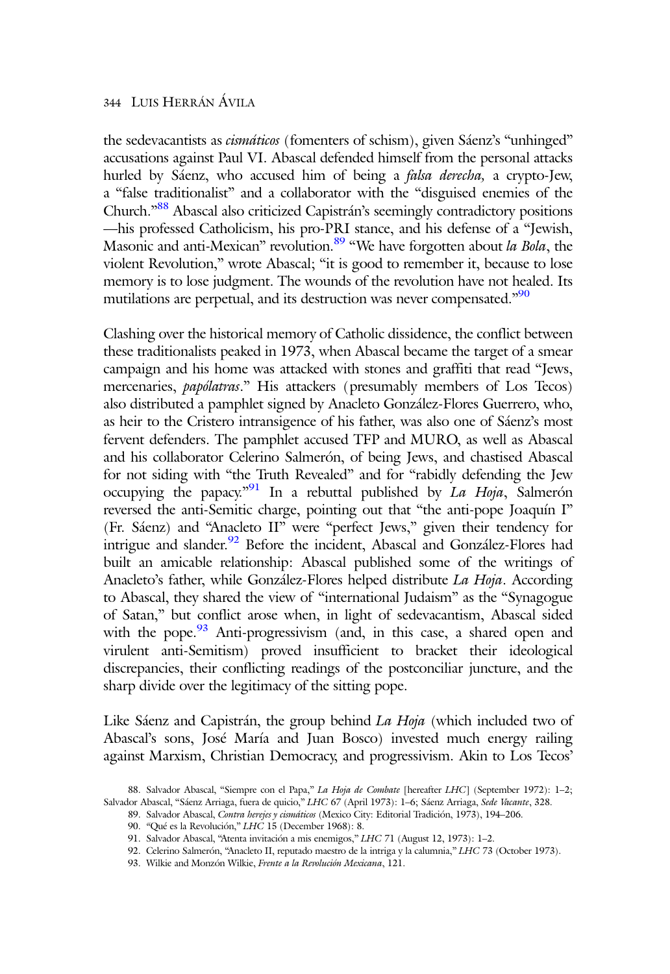the sedevacantists as *cismáticos* (fomenters of schism), given Sáenz's "unhinged" accusations against Paul VI. Abascal defended himself from the personal attacks hurled by Sáenz, who accused him of being a falsa derecha, a crypto-Jew, a "false traditionalist" and a collaborator with the "disguised enemies of the Church.<sup>388</sup> Abascal also criticized Capistrán's seemingly contradictory positions —his professed Catholicism, his pro-PRI stance, and his defense of a "Jewish, Masonic and anti-Mexican" revolution.<sup>89</sup> "We have forgotten about la Bola, the violent Revolution," wrote Abascal; "it is good to remember it, because to lose memory is to lose judgment. The wounds of the revolution have not healed. Its mutilations are perpetual, and its destruction was never compensated."<sup>90</sup>

Clashing over the historical memory of Catholic dissidence, the conflict between these traditionalists peaked in 1973, when Abascal became the target of a smear campaign and his home was attacked with stones and graffiti that read "Jews, mercenaries, papólatras." His attackers (presumably members of Los Tecos) also distributed a pamphlet signed by Anacleto González-Flores Guerrero, who, as heir to the Cristero intransigence of his father, was also one of Sáenz's most fervent defenders. The pamphlet accused TFP and MURO, as well as Abascal and his collaborator Celerino Salmerón, of being Jews, and chastised Abascal for not siding with "the Truth Revealed" and for "rabidly defending the Jew occupying the papacy."<sup>91</sup> In a rebuttal published by *La Hoja*, Salmerón reversed the anti-Semitic charge, pointing out that "the anti-pope Joaquín I" (Fr. Sáenz) and "Anacleto II" were "perfect Jews," given their tendency for intrigue and slander.<sup>92</sup> Before the incident, Abascal and González-Flores had built an amicable relationship: Abascal published some of the writings of Anacleto's father, while González-Flores helped distribute La Hoja. According to Abascal, they shared the view of "international Judaism" as the "Synagogue of Satan," but conflict arose when, in light of sedevacantism, Abascal sided with the pope. $93$  Anti-progressivism (and, in this case, a shared open and virulent anti-Semitism) proved insufficient to bracket their ideological discrepancies, their conflicting readings of the postconciliar juncture, and the sharp divide over the legitimacy of the sitting pope.

Like Sáenz and Capistrán, the group behind La Hoja (which included two of Abascal's sons, José María and Juan Bosco) invested much energy railing against Marxism, Christian Democracy, and progressivism. Akin to Los Tecos'

<sup>88.</sup> Salvador Abascal, "Siempre con el Papa," La Hoja de Combate [hereafter LHC] (September 1972): 1-2; Salvador Abascal, "Sáenz Arriaga, fuera de quicio," LHC 67 (April 1973): 1-6; Sáenz Arriaga, Sede Vacante, 328.

<sup>89.</sup> Salvador Abascal, Contra herejes y cismáticos (Mexico City: Editorial Tradición, 1973), 194-206.

<sup>90.</sup> "Qué es la Revolución," LHC 15 (December 1968): 8.

<sup>91.</sup> Salvador Abascal, "Atenta invitación a mis enemigos," LHC 71 (August 12, 1973): 1–2.

<sup>92.</sup> Celerino Salmerón, "Anacleto II, reputado maestro de la intriga y la calumnia," LHC 73 (October 1973).

<sup>93.</sup> Wilkie and Monzón Wilkie, Frente a la Revolución Mexicana, 121.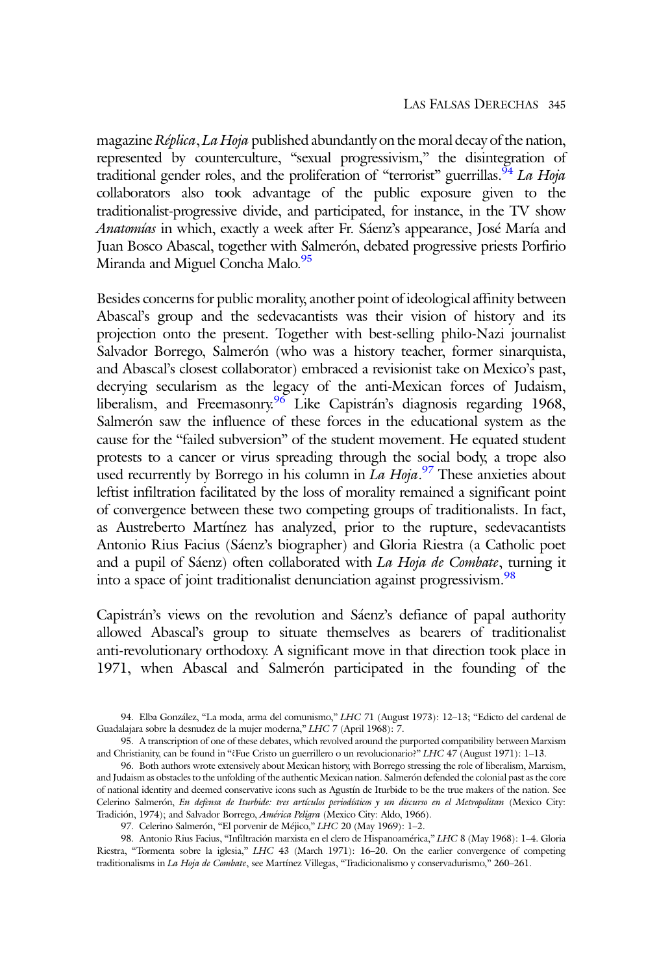magazine Réplica, La Hoja published abundantly on the moral decay of the nation, represented by counterculture, "sexual progressivism," the disintegration of traditional gender roles, and the proliferation of "terrorist" guerrillas.<sup>94</sup> La Hoja collaborators also took advantage of the public exposure given to the traditionalist-progressive divide, and participated, for instance, in the TV show Anatomías in which, exactly a week after Fr. Sáenz's appearance, José María and Juan Bosco Abascal, together with Salmerón, debated progressive priests Porfirio Miranda and Miguel Concha Malo.<sup>95</sup>

Besides concerns for public morality, another point of ideological affinity between Abascal's group and the sedevacantists was their vision of history and its projection onto the present. Together with best-selling philo-Nazi journalist Salvador Borrego, Salmerón (who was a history teacher, former sinarquista, and Abascal's closest collaborator) embraced a revisionist take on Mexico's past, decrying secularism as the legacy of the anti-Mexican forces of Judaism, liberalism, and Freemasonry.<sup>96</sup> Like Capistrán's diagnosis regarding 1968, Salmerón saw the influence of these forces in the educational system as the cause for the "failed subversion" of the student movement. He equated student protests to a cancer or virus spreading through the social body, a trope also used recurrently by Borrego in his column in La Hoja.<sup>97</sup> These anxieties about leftist infiltration facilitated by the loss of morality remained a significant point of convergence between these two competing groups of traditionalists. In fact, as Austreberto Martínez has analyzed, prior to the rupture, sedevacantists Antonio Rius Facius (Sáenz's biographer) and Gloria Riestra (a Catholic poet and a pupil of Sáenz) often collaborated with La Hoja de Combate, turning it into a space of joint traditionalist denunciation against progressivism.<sup>98</sup>

Capistrán's views on the revolution and Sáenz's defiance of papal authority allowed Abascal's group to situate themselves as bearers of traditionalist anti-revolutionary orthodoxy. A significant move in that direction took place in 1971, when Abascal and Salmerón participated in the founding of the

94. Elba González, "La moda, arma del comunismo," LHC 71 (August 1973): 12–13; "Edicto del cardenal de Guadalajara sobre la desnudez de la mujer moderna," LHC 7 (April 1968): 7.

95. A transcription of one of these debates, which revolved around the purported compatibility between Marxism and Christianity, can be found in "¿Fue Cristo un guerrillero o un revolucionario?" LHC 47 (August 1971): 1–13.

<sup>96.</sup> Both authors wrote extensively about Mexican history, with Borrego stressing the role of liberalism, Marxism, and Judaism as obstacles to the unfolding of the authentic Mexican nation. Salmerón defended the colonial past as the core of national identity and deemed conservative icons such as Agustín de Iturbide to be the true makers of the nation. See Celerino Salmerón, En defensa de Iturbide: tres artículos periodísticos y un discurso en el Metropolitan (Mexico City: Tradición, 1974); and Salvador Borrego, América Peligra (Mexico City: Aldo, 1966).

<sup>97.</sup> Celerino Salmerón, "El porvenir de Méjico," LHC 20 (May 1969): 1–2.

<sup>98.</sup> Antonio Rius Facius, "Infiltración marxista en el clero de Hispanoamérica," LHC 8 (May 1968): 1–4. Gloria Riestra, "Tormenta sobre la iglesia," LHC 43 (March 1971): 16–20. On the earlier convergence of competing traditionalisms in La Hoja de Combate, see Martínez Villegas, "Tradicionalismo y conservadurismo," 260-261.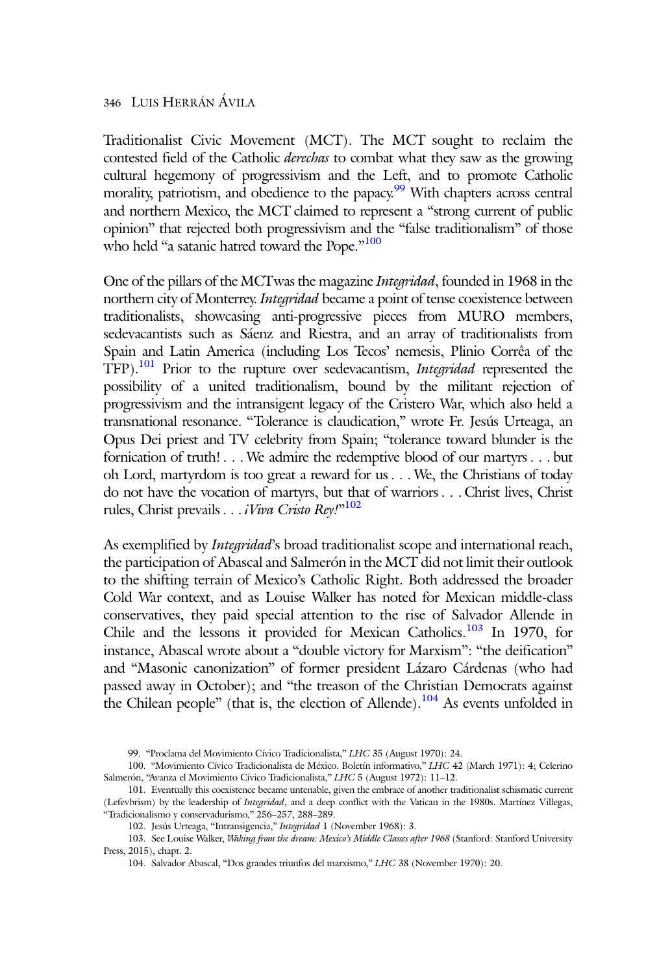Traditionalist Civic Movement (MCT). The MCT sought to reclaim the contested field of the Catholic derechas to combat what they saw as the growing cultural hegemony of progressivism and the Left, and to promote Catholic morality, patriotism, and obedience to the papacy.<sup>99</sup> With chapters across central and northern Mexico, the MCT claimed to represent a "strong current of public opinion" that rejected both progressivism and the "false traditionalism" of those who held "a satanic hatred toward the Pope."<sup>100</sup>

One of the pillars of the MCTwas the magazine Integridad, founded in 1968 in the northern city of Monterrey. Integridad became a point of tense coexistence between traditionalists, showcasing anti-progressive pieces from MURO members, sedevacantists such as Sáenz and Riestra, and an array of traditionalists from Spain and Latin America (including Los Tecos' nemesis, Plinio Corrêa of the TFP).<sup>101</sup> Prior to the rupture over sedevacantism, *Integridad* represented the possibility of a united traditionalism, bound by the militant rejection of progressivism and the intransigent legacy of the Cristero War, which also held a transnational resonance. "Tolerance is claudication," wrote Fr. Jesús Urteaga, an Opus Dei priest and TV celebrity from Spain; "tolerance toward blunder is the fornication of truth! . . . We admire the redemptive blood of our martyrs . . . but oh Lord, martyrdom is too great a reward for us . . . We, the Christians of today do not have the vocation of martyrs, but that of warriors . . . Christ lives, Christ rules, Christ prevails . . . iViva Cristo Rey!" 102

As exemplified by *Integridad*'s broad traditionalist scope and international reach, the participation of Abascal and Salmerón in the MCT did not limit their outlook to the shifting terrain of Mexico's Catholic Right. Both addressed the broader Cold War context, and as Louise Walker has noted for Mexican middle-class conservatives, they paid special attention to the rise of Salvador Allende in Chile and the lessons it provided for Mexican Catholics.<sup>103</sup> In 1970, for instance, Abascal wrote about a "double victory for Marxism": "the deification" and "Masonic canonization" of former president Lázaro Cárdenas (who had passed away in October); and "the treason of the Christian Democrats against the Chilean people" (that is, the election of Allende).<sup>104</sup> As events unfolded in

<sup>99.</sup> "Proclama del Movimiento Cívico Tradicionalista," LHC 35 (August 1970): 24.

<sup>100.</sup> "Movimiento Cívico Tradicionalista de México. Boletín informativo," LHC 42 (March 1971): 4; Celerino Salmerón, "Avanza el Movimiento Cívico Tradicionalista," LHC 5 (August 1972): 11–12.

<sup>101.</sup> Eventually this coexistence became untenable, given the embrace of another traditionalist schismatic current (Lefevbrism) by the leadership of Integridad, and a deep conflict with the Vatican in the 1980s. Martínez Villegas, "Tradicionalismo y conservadurismo," 256–257, 288–289.

<sup>102.</sup> Jesús Urteaga, "Intransigencia," Integridad 1 (November 1968): 3.

<sup>103.</sup> See Louise Walker, Waking from the dream: Mexico's Middle Classes after 1968 (Stanford: Stanford University Press, 2015), chapt. 2.

<sup>104.</sup> Salvador Abascal, "Dos grandes triunfos del marxismo," LHC 38 (November 1970): 20.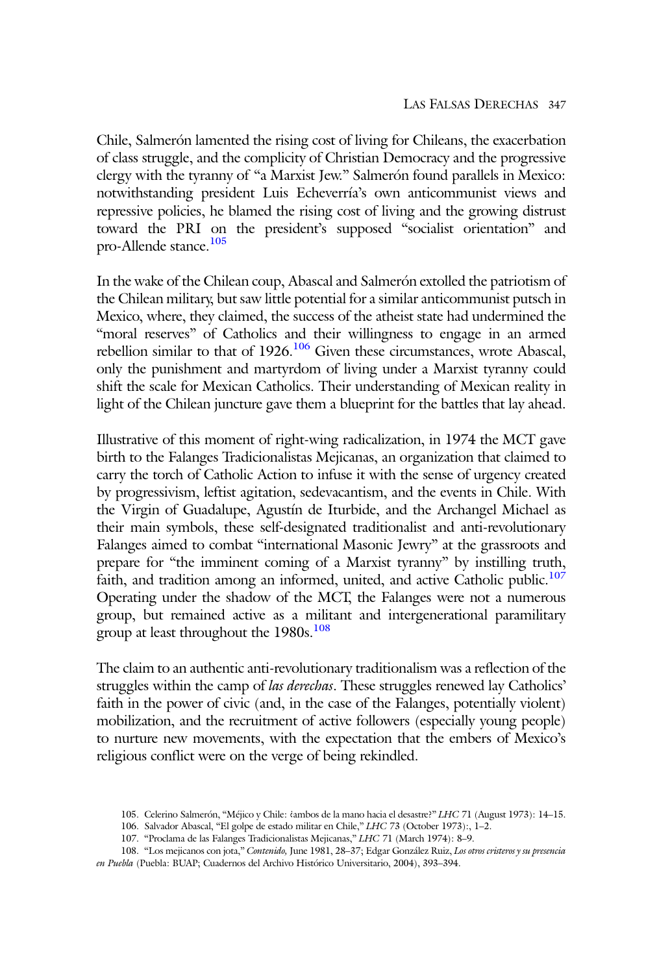Chile, Salmerón lamented the rising cost of living for Chileans, the exacerbation of class struggle, and the complicity of Christian Democracy and the progressive clergy with the tyranny of "a Marxist Jew." Salmerón found parallels in Mexico: notwithstanding president Luis Echeverría's own anticommunist views and repressive policies, he blamed the rising cost of living and the growing distrust toward the PRI on the president's supposed "socialist orientation" and pro-Allende stance.<sup>105</sup>

In the wake of the Chilean coup, Abascal and Salmerón extolled the patriotism of the Chilean military, but saw little potential for a similar anticommunist putsch in Mexico, where, they claimed, the success of the atheist state had undermined the "moral reserves" of Catholics and their willingness to engage in an armed rebellion similar to that of  $1926$ .<sup>106</sup> Given these circumstances, wrote Abascal, only the punishment and martyrdom of living under a Marxist tyranny could shift the scale for Mexican Catholics. Their understanding of Mexican reality in light of the Chilean juncture gave them a blueprint for the battles that lay ahead.

Illustrative of this moment of right-wing radicalization, in 1974 the MCT gave birth to the Falanges Tradicionalistas Mejicanas, an organization that claimed to carry the torch of Catholic Action to infuse it with the sense of urgency created by progressivism, leftist agitation, sedevacantism, and the events in Chile. With the Virgin of Guadalupe, Agustín de Iturbide, and the Archangel Michael as their main symbols, these self-designated traditionalist and anti-revolutionary Falanges aimed to combat "international Masonic Jewry" at the grassroots and prepare for "the imminent coming of a Marxist tyranny" by instilling truth, faith, and tradition among an informed, united, and active Catholic public.<sup>107</sup> Operating under the shadow of the MCT, the Falanges were not a numerous group, but remained active as a militant and intergenerational paramilitary group at least throughout the  $1980s$ .<sup>108</sup>

The claim to an authentic anti-revolutionary traditionalism was a reflection of the struggles within the camp of las derechas. These struggles renewed lay Catholics' faith in the power of civic (and, in the case of the Falanges, potentially violent) mobilization, and the recruitment of active followers (especially young people) to nurture new movements, with the expectation that the embers of Mexico's religious conflict were on the verge of being rekindled.

<sup>105.</sup> Celerino Salmerón, "Méjico y Chile: ¿ambos de la mano hacia el desastre?" LHC 71 (August 1973): 14–15.

<sup>106.</sup> Salvador Abascal, "El golpe de estado militar en Chile," LHC 73 (October 1973):, 1–2.

<sup>107.</sup> "Proclama de las Falanges Tradicionalistas Mejicanas," LHC 71 (March 1974): 8–9.

<sup>108.</sup> "Los mejicanos con jota," Contenido, June 1981, 28–37; Edgar González Ruiz, Los otros cristeros y su presencia en Puebla (Puebla: BUAP; Cuadernos del Archivo Histórico Universitario, 2004), 393-394.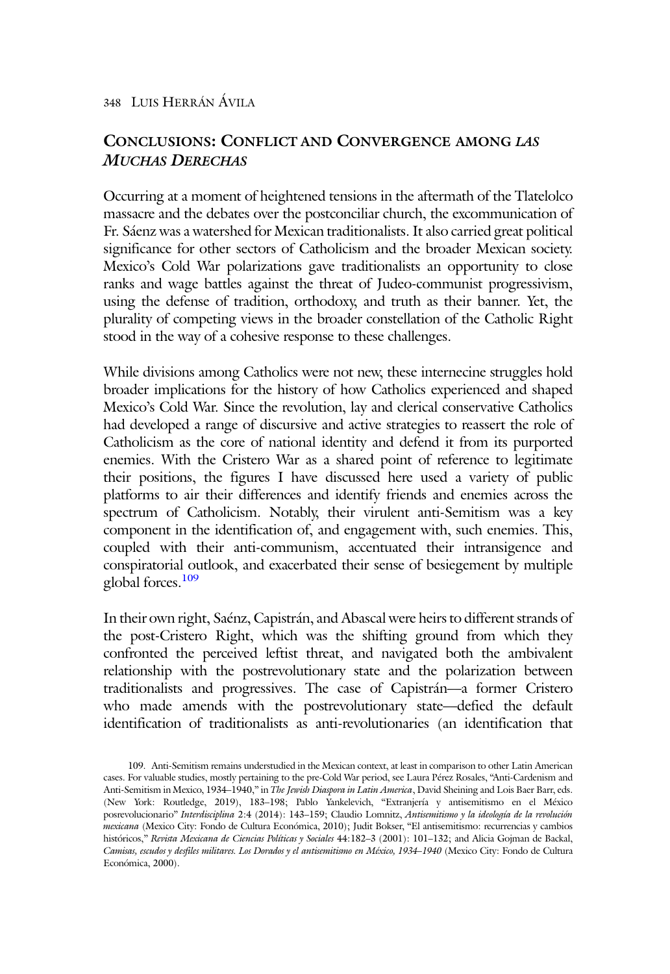## CONCLUSIONS: CONFLICT AND CONVERGENCE AMONG LAS MUCHAS DERECHAS

Occurring at a moment of heightened tensions in the aftermath of the Tlatelolco massacre and the debates over the postconciliar church, the excommunication of Fr. Sáenz was a watershed for Mexican traditionalists. It also carried great political significance for other sectors of Catholicism and the broader Mexican society. Mexico's Cold War polarizations gave traditionalists an opportunity to close ranks and wage battles against the threat of Judeo-communist progressivism, using the defense of tradition, orthodoxy, and truth as their banner. Yet, the plurality of competing views in the broader constellation of the Catholic Right stood in the way of a cohesive response to these challenges.

While divisions among Catholics were not new, these internecine struggles hold broader implications for the history of how Catholics experienced and shaped Mexico's Cold War. Since the revolution, lay and clerical conservative Catholics had developed a range of discursive and active strategies to reassert the role of Catholicism as the core of national identity and defend it from its purported enemies. With the Cristero War as a shared point of reference to legitimate their positions, the figures I have discussed here used a variety of public platforms to air their differences and identify friends and enemies across the spectrum of Catholicism. Notably, their virulent anti-Semitism was a key component in the identification of, and engagement with, such enemies. This, coupled with their anti-communism, accentuated their intransigence and conspiratorial outlook, and exacerbated their sense of besiegement by multiple global forces.<sup>109</sup>

In their own right, Saénz, Capistrán, and Abascal were heirs to different strands of the post-Cristero Right, which was the shifting ground from which they confronted the perceived leftist threat, and navigated both the ambivalent relationship with the postrevolutionary state and the polarization between traditionalists and progressives. The case of Capistrán—a former Cristero who made amends with the postrevolutionary state—defied the default identification of traditionalists as anti-revolutionaries (an identification that

<sup>109.</sup> Anti-Semitism remains understudied in the Mexican context, at least in comparison to other Latin American cases. For valuable studies, mostly pertaining to the pre-Cold War period, see Laura Pérez Rosales, "Anti-Cardenism and Anti-Semitism in Mexico, 1934–1940," in The Jewish Diaspora in Latin America, David Sheining and Lois Baer Barr, eds. (New York: Routledge, 2019), 183–198; Pablo Yankelevich, "Extranjería y antisemitismo en el México posrevolucionario" Interdisciplina 2:4 (2014): 143–159; Claudio Lomnitz, Antisemitismo y la ideología de la revolución mexicana (Mexico City: Fondo de Cultura Económica, 2010); Judit Bokser, "El antisemitismo: recurrencias y cambios históricos," Revista Mexicana de Ciencias Políticas y Sociales 44:182-3 (2001): 101-132; and Alicia Gojman de Backal, Camisas, escudos y desfiles militares. Los Dorados y el antisemitismo en México, 1934–1940 (Mexico City: Fondo de Cultura Económica, 2000).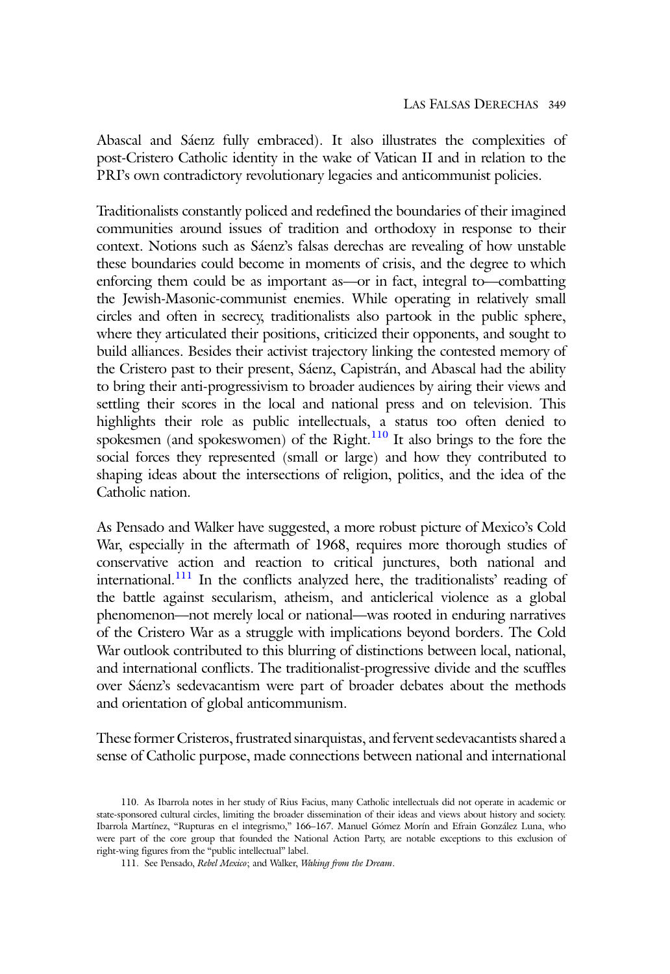Abascal and Sáenz fully embraced). It also illustrates the complexities of post-Cristero Catholic identity in the wake of Vatican II and in relation to the PRI's own contradictory revolutionary legacies and anticommunist policies.

Traditionalists constantly policed and redefined the boundaries of their imagined communities around issues of tradition and orthodoxy in response to their context. Notions such as Sáenz's falsas derechas are revealing of how unstable these boundaries could become in moments of crisis, and the degree to which enforcing them could be as important as—or in fact, integral to—combatting the Jewish-Masonic-communist enemies. While operating in relatively small circles and often in secrecy, traditionalists also partook in the public sphere, where they articulated their positions, criticized their opponents, and sought to build alliances. Besides their activist trajectory linking the contested memory of the Cristero past to their present, Sáenz, Capistrán, and Abascal had the ability to bring their anti-progressivism to broader audiences by airing their views and settling their scores in the local and national press and on television. This highlights their role as public intellectuals, a status too often denied to spokesmen (and spokeswomen) of the Right.<sup>110</sup> It also brings to the fore the social forces they represented (small or large) and how they contributed to shaping ideas about the intersections of religion, politics, and the idea of the Catholic nation.

As Pensado and Walker have suggested, a more robust picture of Mexico's Cold War, especially in the aftermath of 1968, requires more thorough studies of conservative action and reaction to critical junctures, both national and international.<sup>111</sup> In the conflicts analyzed here, the traditionalists' reading of the battle against secularism, atheism, and anticlerical violence as a global phenomenon—not merely local or national—was rooted in enduring narratives of the Cristero War as a struggle with implications beyond borders. The Cold War outlook contributed to this blurring of distinctions between local, national, and international conflicts. The traditionalist-progressive divide and the scuffles over Sáenz's sedevacantism were part of broader debates about the methods and orientation of global anticommunism.

These former Cristeros, frustrated sinarquistas, and fervent sedevacantists shared a sense of Catholic purpose, made connections between national and international

<sup>110.</sup> As Ibarrola notes in her study of Rius Facius, many Catholic intellectuals did not operate in academic or state-sponsored cultural circles, limiting the broader dissemination of their ideas and views about history and society. Ibarrola Martínez, "Rupturas en el integrismo," 166–167. Manuel Gómez Morín and Efrain González Luna, who were part of the core group that founded the National Action Party, are notable exceptions to this exclusion of right-wing figures from the "public intellectual" label.

<sup>111.</sup> See Pensado, Rebel Mexico; and Walker, Waking from the Dream.